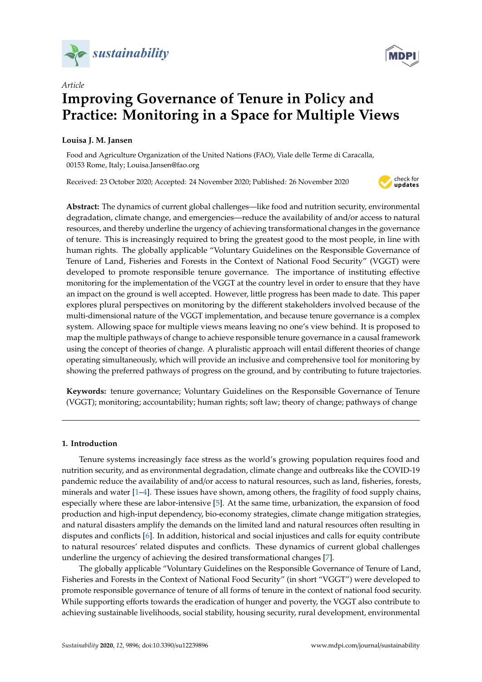

# *Article* **Improving Governance of Tenure in Policy and Practice: Monitoring in a Space for Multiple Views**

# **Louisa J. M. Jansen**

Food and Agriculture Organization of the United Nations (FAO), Viale delle Terme di Caracalla, 00153 Rome, Italy; Louisa.Jansen@fao.org

Received: 23 October 2020; Accepted: 24 November 2020; Published: 26 November 2020



**Abstract:** The dynamics of current global challenges—like food and nutrition security, environmental degradation, climate change, and emergencies—reduce the availability of and/or access to natural resources, and thereby underline the urgency of achieving transformational changes in the governance of tenure. This is increasingly required to bring the greatest good to the most people, in line with human rights. The globally applicable "Voluntary Guidelines on the Responsible Governance of Tenure of Land, Fisheries and Forests in the Context of National Food Security" (VGGT) were developed to promote responsible tenure governance. The importance of instituting effective monitoring for the implementation of the VGGT at the country level in order to ensure that they have an impact on the ground is well accepted. However, little progress has been made to date. This paper explores plural perspectives on monitoring by the different stakeholders involved because of the multi-dimensional nature of the VGGT implementation, and because tenure governance is a complex system. Allowing space for multiple views means leaving no one's view behind. It is proposed to map the multiple pathways of change to achieve responsible tenure governance in a causal framework using the concept of theories of change. A pluralistic approach will entail different theories of change operating simultaneously, which will provide an inclusive and comprehensive tool for monitoring by showing the preferred pathways of progress on the ground, and by contributing to future trajectories.

**Keywords:** tenure governance; Voluntary Guidelines on the Responsible Governance of Tenure (VGGT); monitoring; accountability; human rights; soft law; theory of change; pathways of change

# **1. Introduction**

Tenure systems increasingly face stress as the world's growing population requires food and nutrition security, and as environmental degradation, climate change and outbreaks like the COVID-19 pandemic reduce the availability of and/or access to natural resources, such as land, fisheries, forests, minerals and water [\[1–](#page-17-0)[4\]](#page-17-1). These issues have shown, among others, the fragility of food supply chains, especially where these are labor-intensive [\[5\]](#page-18-0). At the same time, urbanization, the expansion of food production and high-input dependency, bio-economy strategies, climate change mitigation strategies, and natural disasters amplify the demands on the limited land and natural resources often resulting in disputes and conflicts [\[6\]](#page-18-1). In addition, historical and social injustices and calls for equity contribute to natural resources' related disputes and conflicts. These dynamics of current global challenges underline the urgency of achieving the desired transformational changes [\[7\]](#page-18-2).

The globally applicable "Voluntary Guidelines on the Responsible Governance of Tenure of Land, Fisheries and Forests in the Context of National Food Security" (in short "VGGT") were developed to promote responsible governance of tenure of all forms of tenure in the context of national food security. While supporting efforts towards the eradication of hunger and poverty, the VGGT also contribute to achieving sustainable livelihoods, social stability, housing security, rural development, environmental

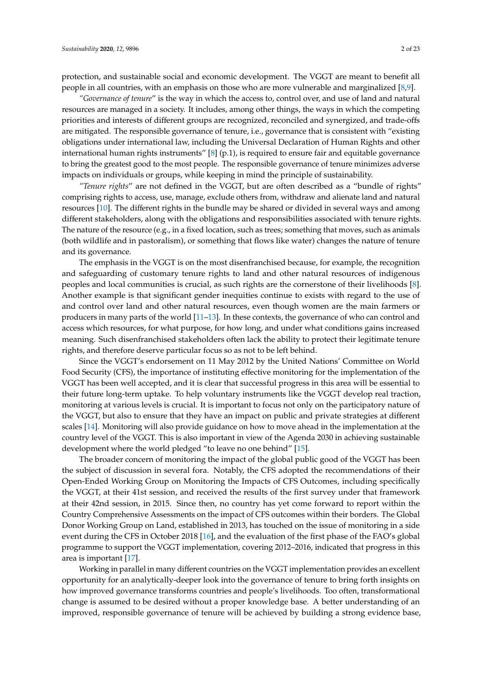protection, and sustainable social and economic development. The VGGT are meant to benefit all people in all countries, with an emphasis on those who are more vulnerable and marginalized [\[8,](#page-18-3)[9\]](#page-18-4).

*"Governance of tenure*" is the way in which the access to, control over, and use of land and natural resources are managed in a society. It includes, among other things, the ways in which the competing priorities and interests of different groups are recognized, reconciled and synergized, and trade-offs are mitigated. The responsible governance of tenure, i.e., governance that is consistent with "existing obligations under international law, including the Universal Declaration of Human Rights and other international human rights instruments" [\[8\]](#page-18-3) (p.1), is required to ensure fair and equitable governance to bring the greatest good to the most people. The responsible governance of tenure minimizes adverse impacts on individuals or groups, while keeping in mind the principle of sustainability.

*"Tenure rights*" are not defined in the VGGT, but are often described as a "bundle of rights" comprising rights to access, use, manage, exclude others from, withdraw and alienate land and natural resources [\[10\]](#page-18-5). The different rights in the bundle may be shared or divided in several ways and among different stakeholders, along with the obligations and responsibilities associated with tenure rights. The nature of the resource (e.g., in a fixed location, such as trees; something that moves, such as animals (both wildlife and in pastoralism), or something that flows like water) changes the nature of tenure and its governance.

The emphasis in the VGGT is on the most disenfranchised because, for example, the recognition and safeguarding of customary tenure rights to land and other natural resources of indigenous peoples and local communities is crucial, as such rights are the cornerstone of their livelihoods [\[8\]](#page-18-3). Another example is that significant gender inequities continue to exists with regard to the use of and control over land and other natural resources, even though women are the main farmers or producers in many parts of the world [\[11](#page-18-6)[–13\]](#page-18-7). In these contexts, the governance of who can control and access which resources, for what purpose, for how long, and under what conditions gains increased meaning. Such disenfranchised stakeholders often lack the ability to protect their legitimate tenure rights, and therefore deserve particular focus so as not to be left behind.

Since the VGGT's endorsement on 11 May 2012 by the United Nations' Committee on World Food Security (CFS), the importance of instituting effective monitoring for the implementation of the VGGT has been well accepted, and it is clear that successful progress in this area will be essential to their future long-term uptake. To help voluntary instruments like the VGGT develop real traction, monitoring at various levels is crucial. It is important to focus not only on the participatory nature of the VGGT, but also to ensure that they have an impact on public and private strategies at different scales [\[14\]](#page-18-8). Monitoring will also provide guidance on how to move ahead in the implementation at the country level of the VGGT. This is also important in view of the Agenda 2030 in achieving sustainable development where the world pledged "to leave no one behind" [\[15\]](#page-18-9).

The broader concern of monitoring the impact of the global public good of the VGGT has been the subject of discussion in several fora. Notably, the CFS adopted the recommendations of their Open-Ended Working Group on Monitoring the Impacts of CFS Outcomes, including specifically the VGGT, at their 41st session, and received the results of the first survey under that framework at their 42nd session, in 2015. Since then, no country has yet come forward to report within the Country Comprehensive Assessments on the impact of CFS outcomes within their borders. The Global Donor Working Group on Land, established in 2013, has touched on the issue of monitoring in a side event during the CFS in October 2018 [\[16\]](#page-18-10), and the evaluation of the first phase of the FAO's global programme to support the VGGT implementation, covering 2012–2016, indicated that progress in this area is important [\[17\]](#page-18-11).

Working in parallel in many different countries on the VGGT implementation provides an excellent opportunity for an analytically-deeper look into the governance of tenure to bring forth insights on how improved governance transforms countries and people's livelihoods. Too often, transformational change is assumed to be desired without a proper knowledge base. A better understanding of an improved, responsible governance of tenure will be achieved by building a strong evidence base,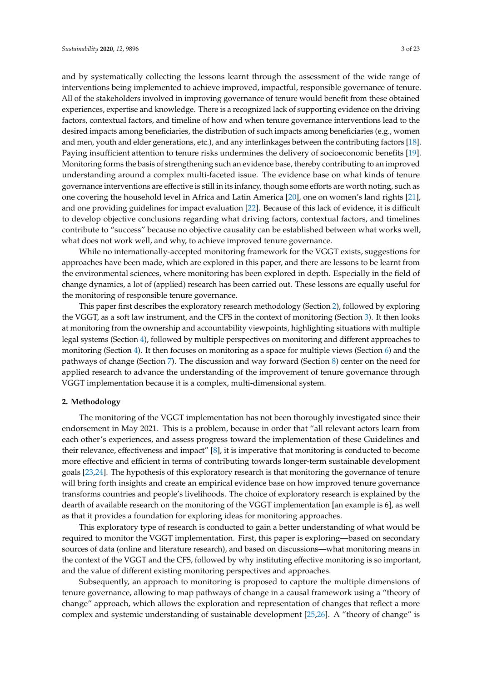and by systematically collecting the lessons learnt through the assessment of the wide range of interventions being implemented to achieve improved, impactful, responsible governance of tenure. All of the stakeholders involved in improving governance of tenure would benefit from these obtained experiences, expertise and knowledge. There is a recognized lack of supporting evidence on the driving factors, contextual factors, and timeline of how and when tenure governance interventions lead to the desired impacts among beneficiaries, the distribution of such impacts among beneficiaries (e.g., women and men, youth and elder generations, etc.), and any interlinkages between the contributing factors [\[18\]](#page-18-12). Paying insufficient attention to tenure risks undermines the delivery of socioeconomic benefits [\[19\]](#page-18-13). Monitoring forms the basis of strengthening such an evidence base, thereby contributing to an improved understanding around a complex multi-faceted issue. The evidence base on what kinds of tenure governance interventions are effective is still in its infancy, though some efforts are worth noting, such as one covering the household level in Africa and Latin America [\[20\]](#page-18-14), one on women's land rights [\[21\]](#page-18-15), and one providing guidelines for impact evaluation [\[22\]](#page-18-16). Because of this lack of evidence, it is difficult to develop objective conclusions regarding what driving factors, contextual factors, and timelines contribute to "success" because no objective causality can be established between what works well, what does not work well, and why, to achieve improved tenure governance.

While no internationally-accepted monitoring framework for the VGGT exists, suggestions for approaches have been made, which are explored in this paper, and there are lessons to be learnt from the environmental sciences, where monitoring has been explored in depth. Especially in the field of change dynamics, a lot of (applied) research has been carried out. These lessons are equally useful for the monitoring of responsible tenure governance.

This paper first describes the exploratory research methodology (Section [2\)](#page-2-0), followed by exploring the VGGT, as a soft law instrument, and the CFS in the context of monitoring (Section [3\)](#page-3-0). It then looks at monitoring from the ownership and accountability viewpoints, highlighting situations with multiple legal systems (Section [4\)](#page-7-0), followed by multiple perspectives on monitoring and different approaches to monitoring (Section [4\)](#page-7-0). It then focuses on monitoring as a space for multiple views (Section [6\)](#page-14-0) and the pathways of change (Section [7\)](#page-14-1). The discussion and way forward (Section [8\)](#page-17-2) center on the need for applied research to advance the understanding of the improvement of tenure governance through VGGT implementation because it is a complex, multi-dimensional system.

#### <span id="page-2-0"></span>**2. Methodology**

The monitoring of the VGGT implementation has not been thoroughly investigated since their endorsement in May 2021. This is a problem, because in order that "all relevant actors learn from each other's experiences, and assess progress toward the implementation of these Guidelines and their relevance, effectiveness and impact" [\[8\]](#page-18-3), it is imperative that monitoring is conducted to become more effective and efficient in terms of contributing towards longer-term sustainable development goals [\[23,](#page-18-17)[24\]](#page-18-18). The hypothesis of this exploratory research is that monitoring the governance of tenure will bring forth insights and create an empirical evidence base on how improved tenure governance transforms countries and people's livelihoods. The choice of exploratory research is explained by the dearth of available research on the monitoring of the VGGT implementation [an example is 6], as well as that it provides a foundation for exploring ideas for monitoring approaches.

This exploratory type of research is conducted to gain a better understanding of what would be required to monitor the VGGT implementation. First, this paper is exploring—based on secondary sources of data (online and literature research), and based on discussions—what monitoring means in the context of the VGGT and the CFS, followed by why instituting effective monitoring is so important, and the value of different existing monitoring perspectives and approaches.

Subsequently, an approach to monitoring is proposed to capture the multiple dimensions of tenure governance, allowing to map pathways of change in a causal framework using a "theory of change" approach, which allows the exploration and representation of changes that reflect a more complex and systemic understanding of sustainable development [\[25,](#page-19-0)[26\]](#page-19-1). A "theory of change" is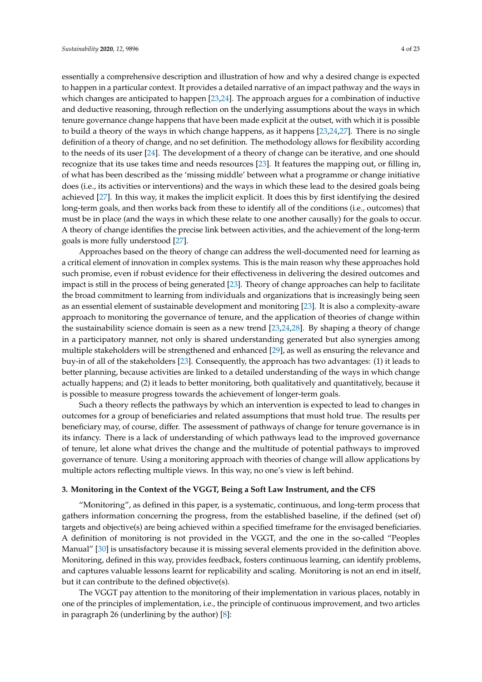essentially a comprehensive description and illustration of how and why a desired change is expected to happen in a particular context. It provides a detailed narrative of an impact pathway and the ways in which changes are anticipated to happen [\[23,](#page-18-17)[24\]](#page-18-18). The approach argues for a combination of inductive and deductive reasoning, through reflection on the underlying assumptions about the ways in which tenure governance change happens that have been made explicit at the outset, with which it is possible to build a theory of the ways in which change happens, as it happens [\[23,](#page-18-17)[24,](#page-18-18)[27\]](#page-19-2). There is no single definition of a theory of change, and no set definition. The methodology allows for flexibility according to the needs of its user [\[24\]](#page-18-18). The development of a theory of change can be iterative, and one should recognize that its use takes time and needs resources [\[23\]](#page-18-17). It features the mapping out, or filling in, of what has been described as the 'missing middle' between what a programme or change initiative does (i.e., its activities or interventions) and the ways in which these lead to the desired goals being achieved [\[27\]](#page-19-2). In this way, it makes the implicit explicit. It does this by first identifying the desired long-term goals, and then works back from these to identify all of the conditions (i.e., outcomes) that must be in place (and the ways in which these relate to one another causally) for the goals to occur. A theory of change identifies the precise link between activities, and the achievement of the long-term goals is more fully understood [\[27\]](#page-19-2).

Approaches based on the theory of change can address the well-documented need for learning as a critical element of innovation in complex systems. This is the main reason why these approaches hold such promise, even if robust evidence for their effectiveness in delivering the desired outcomes and impact is still in the process of being generated [\[23\]](#page-18-17). Theory of change approaches can help to facilitate the broad commitment to learning from individuals and organizations that is increasingly being seen as an essential element of sustainable development and monitoring [\[23\]](#page-18-17). It is also a complexity-aware approach to monitoring the governance of tenure, and the application of theories of change within the sustainability science domain is seen as a new trend [\[23](#page-18-17)[,24](#page-18-18)[,28\]](#page-19-3). By shaping a theory of change in a participatory manner, not only is shared understanding generated but also synergies among multiple stakeholders will be strengthened and enhanced [\[29\]](#page-19-4), as well as ensuring the relevance and buy-in of all of the stakeholders [\[23\]](#page-18-17). Consequently, the approach has two advantages: (1) it leads to better planning, because activities are linked to a detailed understanding of the ways in which change actually happens; and (2) it leads to better monitoring, both qualitatively and quantitatively, because it is possible to measure progress towards the achievement of longer-term goals.

Such a theory reflects the pathways by which an intervention is expected to lead to changes in outcomes for a group of beneficiaries and related assumptions that must hold true. The results per beneficiary may, of course, differ. The assessment of pathways of change for tenure governance is in its infancy. There is a lack of understanding of which pathways lead to the improved governance of tenure, let alone what drives the change and the multitude of potential pathways to improved governance of tenure. Using a monitoring approach with theories of change will allow applications by multiple actors reflecting multiple views. In this way, no one's view is left behind.

## <span id="page-3-0"></span>**3. Monitoring in the Context of the VGGT, Being a Soft Law Instrument, and the CFS**

"Monitoring", as defined in this paper, is a systematic, continuous, and long-term process that gathers information concerning the progress, from the established baseline, if the defined (set of) targets and objective(s) are being achieved within a specified timeframe for the envisaged beneficiaries. A definition of monitoring is not provided in the VGGT, and the one in the so-called "Peoples Manual" [\[30\]](#page-19-5) is unsatisfactory because it is missing several elements provided in the definition above. Monitoring, defined in this way, provides feedback, fosters continuous learning, can identify problems, and captures valuable lessons learnt for replicability and scaling. Monitoring is not an end in itself, but it can contribute to the defined objective(s).

The VGGT pay attention to the monitoring of their implementation in various places, notably in one of the principles of implementation, i.e., the principle of continuous improvement, and two articles in paragraph 26 (underlining by the author) [\[8\]](#page-18-3):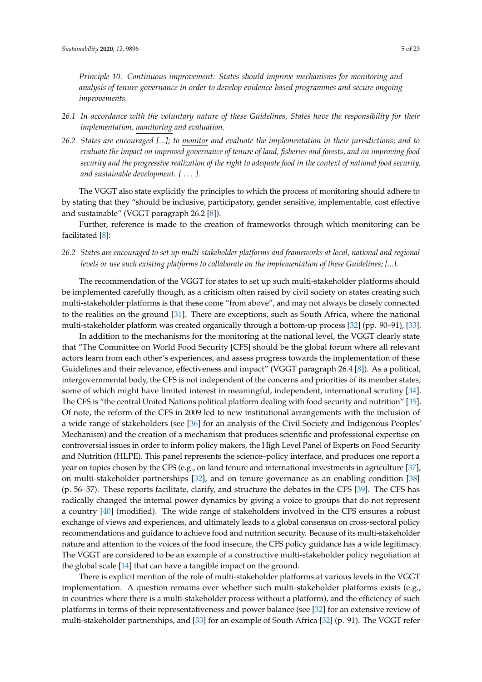*Principle 10. Continuous improvement: States should improve mechanisms for monitoring and analysis of tenure governance in order to develop evidence-based programmes and secure ongoing improvements.*

- *26.1 In accordance with the voluntary nature of these Guidelines, States have the responsibility for their implementation, monitoring and evaluation.*
- *26.2 States are encouraged [...]; to monitor and evaluate the implementation in their jurisdictions; and to evaluate the impact on improved governance of tenure of land, fisheries and forests, and on improving food security and the progressive realization of the right to adequate food in the context of national food security, and sustainable development. [* . . . *].*

The VGGT also state explicitly the principles to which the process of monitoring should adhere to by stating that they "should be inclusive, participatory, gender sensitive, implementable, cost effective and sustainable" (VGGT paragraph 26.2 [\[8\]](#page-18-3)).

Further, reference is made to the creation of frameworks through which monitoring can be facilitated [\[8\]](#page-18-3):

# *26.2 States are encouraged to set up multi-stakeholder platforms and frameworks at local, national and regional levels or use such existing platforms to collaborate on the implementation of these Guidelines; [...].*

The recommendation of the VGGT for states to set up such multi-stakeholder platforms should be implemented carefully though, as a criticism often raised by civil society on states creating such multi-stakeholder platforms is that these come "from above", and may not always be closely connected to the realities on the ground [\[31\]](#page-19-6). There are exceptions, such as South Africa, where the national multi-stakeholder platform was created organically through a bottom-up process [\[32\]](#page-19-7) (pp. 90–91), [\[33\]](#page-19-8).

In addition to the mechanisms for the monitoring at the national level, the VGGT clearly state that "The Committee on World Food Security [CFS] should be the global forum where all relevant actors learn from each other's experiences, and assess progress towards the implementation of these Guidelines and their relevance, effectiveness and impact" (VGGT paragraph 26.4 [\[8\]](#page-18-3)). As a political, intergovernmental body, the CFS is not independent of the concerns and priorities of its member states, some of which might have limited interest in meaningful, independent, international scrutiny [\[34\]](#page-19-9). The CFS is "the central United Nations political platform dealing with food security and nutrition" [\[35\]](#page-19-10). Of note, the reform of the CFS in 2009 led to new institutional arrangements with the inclusion of a wide range of stakeholders (see [\[36\]](#page-19-11) for an analysis of the Civil Society and Indigenous Peoples' Mechanism) and the creation of a mechanism that produces scientific and professional expertise on controversial issues in order to inform policy makers, the High Level Panel of Experts on Food Security and Nutrition (HLPE). This panel represents the science–policy interface, and produces one report a year on topics chosen by the CFS (e.g., on land tenure and international investments in agriculture [\[37\]](#page-19-12), on multi-stakeholder partnerships [\[32\]](#page-19-7), and on tenure governance as an enabling condition [\[38\]](#page-19-13) (p. 56–57). These reports facilitate, clarify, and structure the debates in the CFS [\[39\]](#page-19-14). The CFS has radically changed the internal power dynamics by giving a voice to groups that do not represent a country [\[40\]](#page-19-15) (modified). The wide range of stakeholders involved in the CFS ensures a robust exchange of views and experiences, and ultimately leads to a global consensus on cross-sectoral policy recommendations and guidance to achieve food and nutrition security. Because of its multi-stakeholder nature and attention to the voices of the food insecure, the CFS policy guidance has a wide legitimacy. The VGGT are considered to be an example of a constructive multi-stakeholder policy negotiation at the global scale [\[14\]](#page-18-8) that can have a tangible impact on the ground.

There is explicit mention of the role of multi-stakeholder platforms at various levels in the VGGT implementation. A question remains over whether such multi-stakeholder platforms exists (e.g., in countries where there is a multi-stakeholder process without a platform), and the efficiency of such platforms in terms of their representativeness and power balance (see [\[32\]](#page-19-7) for an extensive review of multi-stakeholder partnerships, and [\[33\]](#page-19-8) for an example of South Africa [\[32\]](#page-19-7) (p. 91). The VGGT refer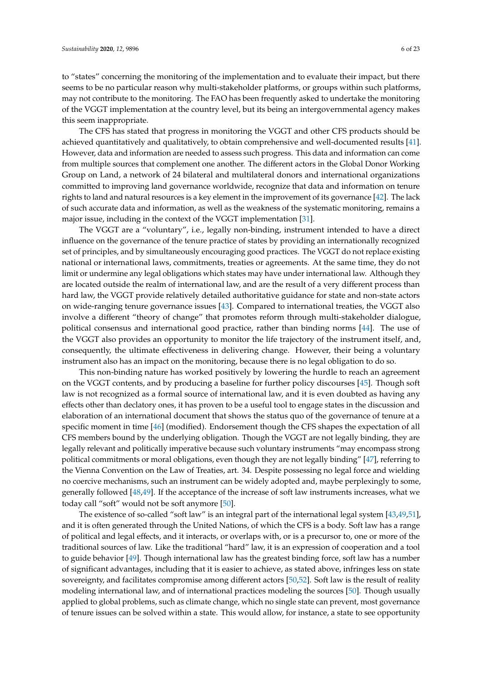to "states" concerning the monitoring of the implementation and to evaluate their impact, but there seems to be no particular reason why multi-stakeholder platforms, or groups within such platforms, may not contribute to the monitoring. The FAO has been frequently asked to undertake the monitoring of the VGGT implementation at the country level, but its being an intergovernmental agency makes this seem inappropriate.

The CFS has stated that progress in monitoring the VGGT and other CFS products should be achieved quantitatively and qualitatively, to obtain comprehensive and well-documented results [\[41\]](#page-19-16). However, data and information are needed to assess such progress. This data and information can come from multiple sources that complement one another. The different actors in the Global Donor Working Group on Land, a network of 24 bilateral and multilateral donors and international organizations committed to improving land governance worldwide, recognize that data and information on tenure rights to land and natural resources is a key element in the improvement of its governance [\[42\]](#page-19-17). The lack of such accurate data and information, as well as the weakness of the systematic monitoring, remains a major issue, including in the context of the VGGT implementation [\[31\]](#page-19-6).

The VGGT are a "voluntary", i.e., legally non-binding, instrument intended to have a direct influence on the governance of the tenure practice of states by providing an internationally recognized set of principles, and by simultaneously encouraging good practices. The VGGT do not replace existing national or international laws, commitments, treaties or agreements. At the same time, they do not limit or undermine any legal obligations which states may have under international law. Although they are located outside the realm of international law, and are the result of a very different process than hard law, the VGGT provide relatively detailed authoritative guidance for state and non-state actors on wide-ranging tenure governance issues [\[43\]](#page-20-0). Compared to international treaties, the VGGT also involve a different "theory of change" that promotes reform through multi-stakeholder dialogue, political consensus and international good practice, rather than binding norms [\[44\]](#page-20-1). The use of the VGGT also provides an opportunity to monitor the life trajectory of the instrument itself, and, consequently, the ultimate effectiveness in delivering change. However, their being a voluntary instrument also has an impact on the monitoring, because there is no legal obligation to do so.

This non-binding nature has worked positively by lowering the hurdle to reach an agreement on the VGGT contents, and by producing a baseline for further policy discourses [\[45\]](#page-20-2). Though soft law is not recognized as a formal source of international law, and it is even doubted as having any effects other than declatory ones, it has proven to be a useful tool to engage states in the discussion and elaboration of an international document that shows the status quo of the governance of tenure at a specific moment in time [\[46\]](#page-20-3) (modified). Endorsement though the CFS shapes the expectation of all CFS members bound by the underlying obligation. Though the VGGT are not legally binding, they are legally relevant and politically imperative because such voluntary instruments "may encompass strong political commitments or moral obligations, even though they are not legally binding" [\[47\]](#page-20-4), referring to the Vienna Convention on the Law of Treaties, art. 34. Despite possessing no legal force and wielding no coercive mechanisms, such an instrument can be widely adopted and, maybe perplexingly to some, generally followed [\[48,](#page-20-5)[49\]](#page-20-6). If the acceptance of the increase of soft law instruments increases, what we today call "soft" would not be soft anymore [\[50\]](#page-20-7).

The existence of so-called "soft law" is an integral part of the international legal system [\[43](#page-20-0)[,49](#page-20-6)[,51\]](#page-20-8), and it is often generated through the United Nations, of which the CFS is a body. Soft law has a range of political and legal effects, and it interacts, or overlaps with, or is a precursor to, one or more of the traditional sources of law. Like the traditional "hard" law, it is an expression of cooperation and a tool to guide behavior [\[49\]](#page-20-6). Though international law has the greatest binding force, soft law has a number of significant advantages, including that it is easier to achieve, as stated above, infringes less on state sovereignty, and facilitates compromise among different actors [\[50,](#page-20-7)[52\]](#page-20-9). Soft law is the result of reality modeling international law, and of international practices modeling the sources [\[50\]](#page-20-7). Though usually applied to global problems, such as climate change, which no single state can prevent, most governance of tenure issues can be solved within a state. This would allow, for instance, a state to see opportunity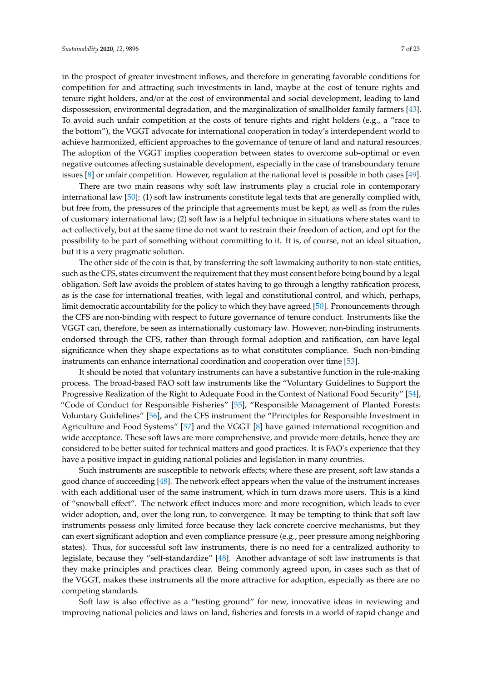in the prospect of greater investment inflows, and therefore in generating favorable conditions for competition for and attracting such investments in land, maybe at the cost of tenure rights and tenure right holders, and/or at the cost of environmental and social development, leading to land dispossession, environmental degradation, and the marginalization of smallholder family farmers [\[43\]](#page-20-0). To avoid such unfair competition at the costs of tenure rights and right holders (e.g., a "race to the bottom"), the VGGT advocate for international cooperation in today's interdependent world to achieve harmonized, efficient approaches to the governance of tenure of land and natural resources. The adoption of the VGGT implies cooperation between states to overcome sub-optimal or even negative outcomes affecting sustainable development, especially in the case of transboundary tenure issues [\[8\]](#page-18-3) or unfair competition. However, regulation at the national level is possible in both cases [\[49\]](#page-20-6).

There are two main reasons why soft law instruments play a crucial role in contemporary international law [\[50\]](#page-20-7): (1) soft law instruments constitute legal texts that are generally complied with, but free from, the pressures of the principle that agreements must be kept, as well as from the rules of customary international law; (2) soft law is a helpful technique in situations where states want to act collectively, but at the same time do not want to restrain their freedom of action, and opt for the possibility to be part of something without committing to it. It is, of course, not an ideal situation, but it is a very pragmatic solution.

The other side of the coin is that, by transferring the soft lawmaking authority to non-state entities, such as the CFS, states circumvent the requirement that they must consent before being bound by a legal obligation. Soft law avoids the problem of states having to go through a lengthy ratification process, as is the case for international treaties, with legal and constitutional control, and which, perhaps, limit democratic accountability for the policy to which they have agreed [\[50\]](#page-20-7). Pronouncements through the CFS are non-binding with respect to future governance of tenure conduct. Instruments like the VGGT can, therefore, be seen as internationally customary law. However, non-binding instruments endorsed through the CFS, rather than through formal adoption and ratification, can have legal significance when they shape expectations as to what constitutes compliance. Such non-binding instruments can enhance international coordination and cooperation over time [\[53\]](#page-20-10).

It should be noted that voluntary instruments can have a substantive function in the rule-making process. The broad-based FAO soft law instruments like the "Voluntary Guidelines to Support the Progressive Realization of the Right to Adequate Food in the Context of National Food Security" [\[54\]](#page-20-11), "Code of Conduct for Responsible Fisheries" [\[55\]](#page-20-12), "Responsible Management of Planted Forests: Voluntary Guidelines" [\[56\]](#page-20-13), and the CFS instrument the "Principles for Responsible Investment in Agriculture and Food Systems" [\[57\]](#page-20-14) and the VGGT [\[8\]](#page-18-3) have gained international recognition and wide acceptance. These soft laws are more comprehensive, and provide more details, hence they are considered to be better suited for technical matters and good practices. It is FAO's experience that they have a positive impact in guiding national policies and legislation in many countries.

Such instruments are susceptible to network effects; where these are present, soft law stands a good chance of succeeding [\[48\]](#page-20-5). The network effect appears when the value of the instrument increases with each additional user of the same instrument, which in turn draws more users. This is a kind of "snowball effect". The network effect induces more and more recognition, which leads to ever wider adoption, and, over the long run, to convergence. It may be tempting to think that soft law instruments possess only limited force because they lack concrete coercive mechanisms, but they can exert significant adoption and even compliance pressure (e.g., peer pressure among neighboring states). Thus, for successful soft law instruments, there is no need for a centralized authority to legislate, because they "self-standardize" [\[48\]](#page-20-5). Another advantage of soft law instruments is that they make principles and practices clear. Being commonly agreed upon, in cases such as that of the VGGT, makes these instruments all the more attractive for adoption, especially as there are no competing standards.

Soft law is also effective as a "testing ground" for new, innovative ideas in reviewing and improving national policies and laws on land, fisheries and forests in a world of rapid change and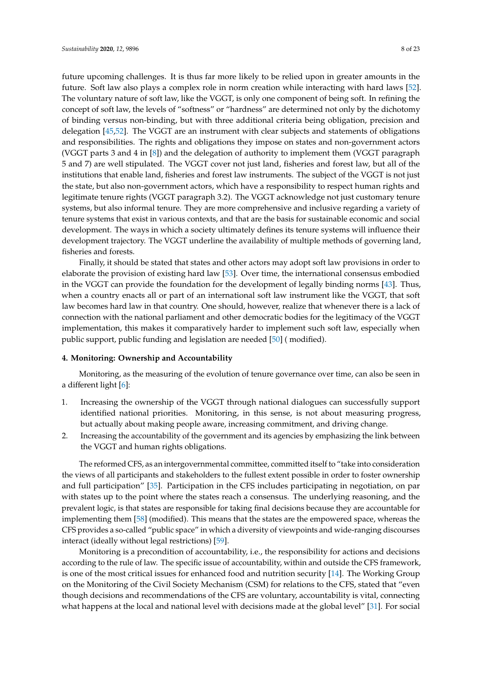future upcoming challenges. It is thus far more likely to be relied upon in greater amounts in the future. Soft law also plays a complex role in norm creation while interacting with hard laws [\[52\]](#page-20-9). The voluntary nature of soft law, like the VGGT, is only one component of being soft. In refining the concept of soft law, the levels of "softness" or "hardness" are determined not only by the dichotomy of binding versus non-binding, but with three additional criteria being obligation, precision and delegation [\[45](#page-20-2)[,52\]](#page-20-9). The VGGT are an instrument with clear subjects and statements of obligations and responsibilities. The rights and obligations they impose on states and non-government actors (VGGT parts 3 and 4 in [\[8\]](#page-18-3)) and the delegation of authority to implement them (VGGT paragraph 5 and 7) are well stipulated. The VGGT cover not just land, fisheries and forest law, but all of the institutions that enable land, fisheries and forest law instruments. The subject of the VGGT is not just the state, but also non-government actors, which have a responsibility to respect human rights and legitimate tenure rights (VGGT paragraph 3.2). The VGGT acknowledge not just customary tenure systems, but also informal tenure. They are more comprehensive and inclusive regarding a variety of tenure systems that exist in various contexts, and that are the basis for sustainable economic and social development. The ways in which a society ultimately defines its tenure systems will influence their development trajectory. The VGGT underline the availability of multiple methods of governing land, fisheries and forests.

Finally, it should be stated that states and other actors may adopt soft law provisions in order to elaborate the provision of existing hard law [\[53\]](#page-20-10). Over time, the international consensus embodied in the VGGT can provide the foundation for the development of legally binding norms [\[43\]](#page-20-0). Thus, when a country enacts all or part of an international soft law instrument like the VGGT, that soft law becomes hard law in that country. One should, however, realize that whenever there is a lack of connection with the national parliament and other democratic bodies for the legitimacy of the VGGT implementation, this makes it comparatively harder to implement such soft law, especially when public support, public funding and legislation are needed [\[50\]](#page-20-7) ( modified).

## <span id="page-7-0"></span>**4. Monitoring: Ownership and Accountability**

Monitoring, as the measuring of the evolution of tenure governance over time, can also be seen in a different light [\[6\]](#page-18-1):

- 1. Increasing the ownership of the VGGT through national dialogues can successfully support identified national priorities. Monitoring, in this sense, is not about measuring progress, but actually about making people aware, increasing commitment, and driving change.
- 2. Increasing the accountability of the government and its agencies by emphasizing the link between the VGGT and human rights obligations.

The reformed CFS, as an intergovernmental committee, committed itself to "take into consideration the views of all participants and stakeholders to the fullest extent possible in order to foster ownership and full participation" [\[35\]](#page-19-10). Participation in the CFS includes participating in negotiation, on par with states up to the point where the states reach a consensus. The underlying reasoning, and the prevalent logic, is that states are responsible for taking final decisions because they are accountable for implementing them [\[58\]](#page-20-15) (modified). This means that the states are the empowered space, whereas the CFS provides a so-called "public space" in which a diversity of viewpoints and wide-ranging discourses interact (ideally without legal restrictions) [\[59\]](#page-20-16).

Monitoring is a precondition of accountability, i.e., the responsibility for actions and decisions according to the rule of law. The specific issue of accountability, within and outside the CFS framework, is one of the most critical issues for enhanced food and nutrition security [\[14\]](#page-18-8). The Working Group on the Monitoring of the Civil Society Mechanism (CSM) for relations to the CFS, stated that "even though decisions and recommendations of the CFS are voluntary, accountability is vital, connecting what happens at the local and national level with decisions made at the global level" [\[31\]](#page-19-6). For social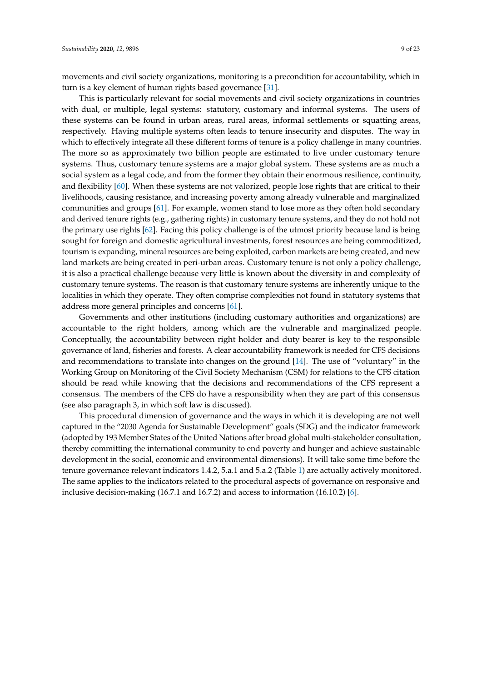movements and civil society organizations, monitoring is a precondition for accountability, which in turn is a key element of human rights based governance [\[31\]](#page-19-6).

This is particularly relevant for social movements and civil society organizations in countries with dual, or multiple, legal systems: statutory, customary and informal systems. The users of these systems can be found in urban areas, rural areas, informal settlements or squatting areas, respectively. Having multiple systems often leads to tenure insecurity and disputes. The way in which to effectively integrate all these different forms of tenure is a policy challenge in many countries. The more so as approximately two billion people are estimated to live under customary tenure systems. Thus, customary tenure systems are a major global system. These systems are as much a social system as a legal code, and from the former they obtain their enormous resilience, continuity, and flexibility [\[60\]](#page-20-17). When these systems are not valorized, people lose rights that are critical to their livelihoods, causing resistance, and increasing poverty among already vulnerable and marginalized communities and groups [\[61\]](#page-20-18). For example, women stand to lose more as they often hold secondary and derived tenure rights (e.g., gathering rights) in customary tenure systems, and they do not hold not the primary use rights [\[62\]](#page-20-19). Facing this policy challenge is of the utmost priority because land is being sought for foreign and domestic agricultural investments, forest resources are being commoditized, tourism is expanding, mineral resources are being exploited, carbon markets are being created, and new land markets are being created in peri-urban areas. Customary tenure is not only a policy challenge, it is also a practical challenge because very little is known about the diversity in and complexity of customary tenure systems. The reason is that customary tenure systems are inherently unique to the localities in which they operate. They often comprise complexities not found in statutory systems that address more general principles and concerns [\[61\]](#page-20-18).

Governments and other institutions (including customary authorities and organizations) are accountable to the right holders, among which are the vulnerable and marginalized people. Conceptually, the accountability between right holder and duty bearer is key to the responsible governance of land, fisheries and forests. A clear accountability framework is needed for CFS decisions and recommendations to translate into changes on the ground [\[14\]](#page-18-8). The use of "voluntary" in the Working Group on Monitoring of the Civil Society Mechanism (CSM) for relations to the CFS citation should be read while knowing that the decisions and recommendations of the CFS represent a consensus. The members of the CFS do have a responsibility when they are part of this consensus (see also paragraph 3, in which soft law is discussed).

This procedural dimension of governance and the ways in which it is developing are not well captured in the "2030 Agenda for Sustainable Development" goals (SDG) and the indicator framework (adopted by 193 Member States of the United Nations after broad global multi-stakeholder consultation, thereby committing the international community to end poverty and hunger and achieve sustainable development in the social, economic and environmental dimensions). It will take some time before the tenure governance relevant indicators 1.4.2, 5.a.1 and 5.a.2 (Table [1\)](#page-9-0) are actually actively monitored. The same applies to the indicators related to the procedural aspects of governance on responsive and inclusive decision-making (16.7.1 and 16.7.2) and access to information (16.10.2) [\[6\]](#page-18-1).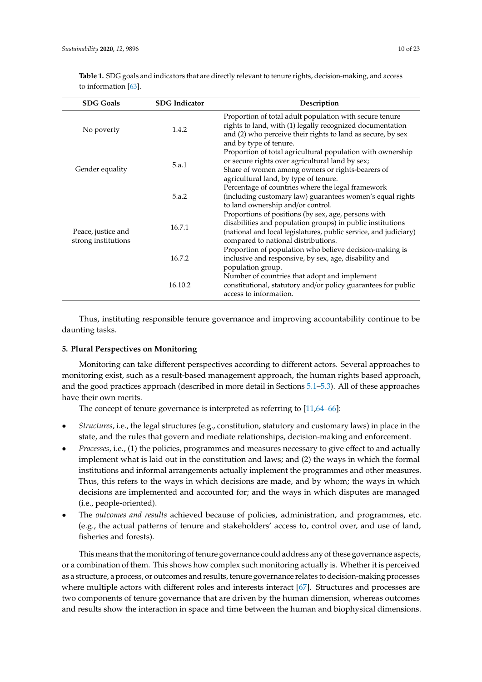| <b>SDG Goals</b>                          | <b>SDG</b> Indicator | Description                                                                                                                                                                                                                                                                                                                                                                                                                 |
|-------------------------------------------|----------------------|-----------------------------------------------------------------------------------------------------------------------------------------------------------------------------------------------------------------------------------------------------------------------------------------------------------------------------------------------------------------------------------------------------------------------------|
| No poverty                                | 1.4.2                | Proportion of total adult population with secure tenure<br>rights to land, with (1) legally recognized documentation<br>and (2) who perceive their rights to land as secure, by sex<br>and by type of tenure.<br>Proportion of total agricultural population with ownership<br>or secure rights over agricultural land by sex;<br>Share of women among owners or rights-bearers of<br>agricultural land, by type of tenure. |
| Gender equality                           | 5.a.1                |                                                                                                                                                                                                                                                                                                                                                                                                                             |
| Peace, justice and<br>strong institutions | 5.a.2                | Percentage of countries where the legal framework<br>(including customary law) guarantees women's equal rights<br>to land ownership and/or control.                                                                                                                                                                                                                                                                         |
|                                           | 16.7.1               | Proportions of positions (by sex, age, persons with<br>disabilities and population groups) in public institutions<br>(national and local legislatures, public service, and judiciary)<br>compared to national distributions.                                                                                                                                                                                                |
|                                           | 16.7.2               | Proportion of population who believe decision-making is<br>inclusive and responsive, by sex, age, disability and<br>population group.                                                                                                                                                                                                                                                                                       |
|                                           | 16.10.2              | Number of countries that adopt and implement<br>constitutional, statutory and/or policy guarantees for public<br>access to information.                                                                                                                                                                                                                                                                                     |

<span id="page-9-0"></span>**Table 1.** SDG goals and indicators that are directly relevant to tenure rights, decision-making, and access to information [\[63\]](#page-20-20).

Thus, instituting responsible tenure governance and improving accountability continue to be daunting tasks.

#### **5. Plural Perspectives on Monitoring**

Monitoring can take different perspectives according to different actors. Several approaches to monitoring exist, such as a result-based management approach, the human rights based approach, and the good practices approach (described in more detail in Sections [5.1](#page-10-0)[–5.3\)](#page-12-0). All of these approaches have their own merits.

The concept of tenure governance is interpreted as referring to [\[11](#page-18-6)[,64](#page-20-21)[–66\]](#page-21-0):

- *Structures*, i.e., the legal structures (e.g., constitution, statutory and customary laws) in place in the state, and the rules that govern and mediate relationships, decision-making and enforcement.
- *Processes*, i.e., (1) the policies, programmes and measures necessary to give effect to and actually implement what is laid out in the constitution and laws; and (2) the ways in which the formal institutions and informal arrangements actually implement the programmes and other measures. Thus, this refers to the ways in which decisions are made, and by whom; the ways in which decisions are implemented and accounted for; and the ways in which disputes are managed (i.e., people-oriented).
- The *outcomes and results* achieved because of policies, administration, and programmes, etc. (e.g., the actual patterns of tenure and stakeholders' access to, control over, and use of land, fisheries and forests).

This means that the monitoring of tenure governance could address any of these governance aspects, or a combination of them. This shows how complex such monitoring actually is. Whether it is perceived as a structure, a process, or outcomes and results, tenure governance relates to decision-making processes where multiple actors with different roles and interests interact [\[67\]](#page-21-1). Structures and processes are two components of tenure governance that are driven by the human dimension, whereas outcomes and results show the interaction in space and time between the human and biophysical dimensions.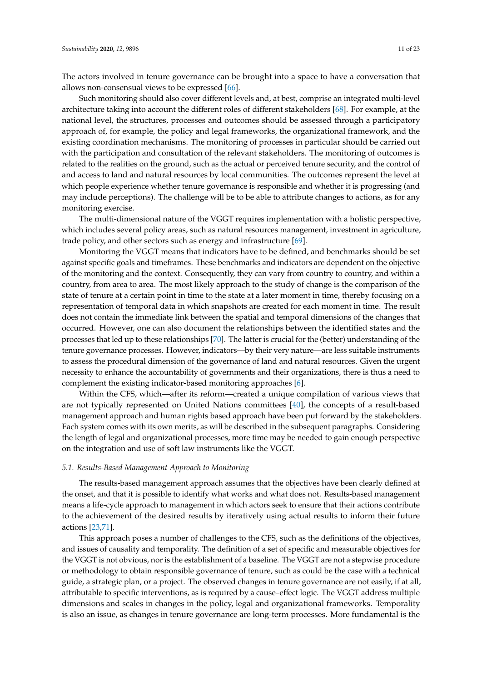The actors involved in tenure governance can be brought into a space to have a conversation that allows non-consensual views to be expressed [\[66\]](#page-21-0).

Such monitoring should also cover different levels and, at best, comprise an integrated multi-level architecture taking into account the different roles of different stakeholders [\[68\]](#page-21-2). For example, at the national level, the structures, processes and outcomes should be assessed through a participatory approach of, for example, the policy and legal frameworks, the organizational framework, and the existing coordination mechanisms. The monitoring of processes in particular should be carried out with the participation and consultation of the relevant stakeholders. The monitoring of outcomes is related to the realities on the ground, such as the actual or perceived tenure security, and the control of and access to land and natural resources by local communities. The outcomes represent the level at which people experience whether tenure governance is responsible and whether it is progressing (and may include perceptions). The challenge will be to be able to attribute changes to actions, as for any monitoring exercise.

The multi-dimensional nature of the VGGT requires implementation with a holistic perspective, which includes several policy areas, such as natural resources management, investment in agriculture, trade policy, and other sectors such as energy and infrastructure [\[69\]](#page-21-3).

Monitoring the VGGT means that indicators have to be defined, and benchmarks should be set against specific goals and timeframes. These benchmarks and indicators are dependent on the objective of the monitoring and the context. Consequently, they can vary from country to country, and within a country, from area to area. The most likely approach to the study of change is the comparison of the state of tenure at a certain point in time to the state at a later moment in time, thereby focusing on a representation of temporal data in which snapshots are created for each moment in time. The result does not contain the immediate link between the spatial and temporal dimensions of the changes that occurred. However, one can also document the relationships between the identified states and the processes that led up to these relationships [\[70\]](#page-21-4). The latter is crucial for the (better) understanding of the tenure governance processes. However, indicators—by their very nature—are less suitable instruments to assess the procedural dimension of the governance of land and natural resources. Given the urgent necessity to enhance the accountability of governments and their organizations, there is thus a need to complement the existing indicator-based monitoring approaches [\[6\]](#page-18-1).

Within the CFS, which—after its reform—created a unique compilation of various views that are not typically represented on United Nations committees [\[40\]](#page-19-15), the concepts of a result-based management approach and human rights based approach have been put forward by the stakeholders. Each system comes with its own merits, as will be described in the subsequent paragraphs. Considering the length of legal and organizational processes, more time may be needed to gain enough perspective on the integration and use of soft law instruments like the VGGT.

#### <span id="page-10-0"></span>*5.1. Results-Based Management Approach to Monitoring*

The results-based management approach assumes that the objectives have been clearly defined at the onset, and that it is possible to identify what works and what does not. Results-based management means a life-cycle approach to management in which actors seek to ensure that their actions contribute to the achievement of the desired results by iteratively using actual results to inform their future actions [\[23](#page-18-17)[,71\]](#page-21-5).

This approach poses a number of challenges to the CFS, such as the definitions of the objectives, and issues of causality and temporality. The definition of a set of specific and measurable objectives for the VGGT is not obvious, nor is the establishment of a baseline. The VGGT are not a stepwise procedure or methodology to obtain responsible governance of tenure, such as could be the case with a technical guide, a strategic plan, or a project. The observed changes in tenure governance are not easily, if at all, attributable to specific interventions, as is required by a cause–effect logic. The VGGT address multiple dimensions and scales in changes in the policy, legal and organizational frameworks. Temporality is also an issue, as changes in tenure governance are long-term processes. More fundamental is the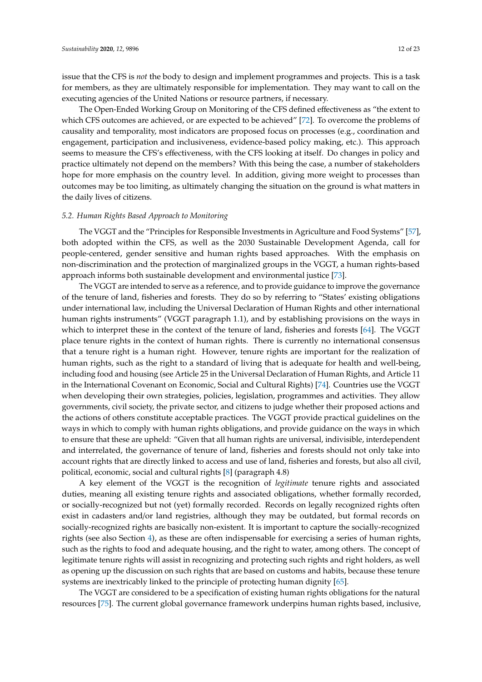issue that the CFS is *not* the body to design and implement programmes and projects. This is a task for members, as they are ultimately responsible for implementation. They may want to call on the executing agencies of the United Nations or resource partners, if necessary.

The Open-Ended Working Group on Monitoring of the CFS defined effectiveness as "the extent to which CFS outcomes are achieved, or are expected to be achieved" [\[72\]](#page-21-6). To overcome the problems of causality and temporality, most indicators are proposed focus on processes (e.g., coordination and engagement, participation and inclusiveness, evidence-based policy making, etc.). This approach seems to measure the CFS's effectiveness, with the CFS looking at itself. Do changes in policy and practice ultimately not depend on the members? With this being the case, a number of stakeholders hope for more emphasis on the country level. In addition, giving more weight to processes than outcomes may be too limiting, as ultimately changing the situation on the ground is what matters in the daily lives of citizens.

# *5.2. Human Rights Based Approach to Monitoring*

The VGGT and the "Principles for Responsible Investments in Agriculture and Food Systems" [\[57\]](#page-20-14), both adopted within the CFS, as well as the 2030 Sustainable Development Agenda, call for people-centered, gender sensitive and human rights based approaches. With the emphasis on non-discrimination and the protection of marginalized groups in the VGGT, a human rights-based approach informs both sustainable development and environmental justice [\[73\]](#page-21-7).

The VGGT are intended to serve as a reference, and to provide guidance to improve the governance of the tenure of land, fisheries and forests. They do so by referring to "States' existing obligations under international law, including the Universal Declaration of Human Rights and other international human rights instruments" (VGGT paragraph 1.1), and by establishing provisions on the ways in which to interpret these in the context of the tenure of land, fisheries and forests [\[64\]](#page-20-21). The VGGT place tenure rights in the context of human rights. There is currently no international consensus that a tenure right is a human right. However, tenure rights are important for the realization of human rights, such as the right to a standard of living that is adequate for health and well-being, including food and housing (see Article 25 in the Universal Declaration of Human Rights, and Article 11 in the International Covenant on Economic, Social and Cultural Rights) [\[74\]](#page-21-8). Countries use the VGGT when developing their own strategies, policies, legislation, programmes and activities. They allow governments, civil society, the private sector, and citizens to judge whether their proposed actions and the actions of others constitute acceptable practices. The VGGT provide practical guidelines on the ways in which to comply with human rights obligations, and provide guidance on the ways in which to ensure that these are upheld: "Given that all human rights are universal, indivisible, interdependent and interrelated, the governance of tenure of land, fisheries and forests should not only take into account rights that are directly linked to access and use of land, fisheries and forests, but also all civil, political, economic, social and cultural rights [\[8\]](#page-18-3) (paragraph 4.8)

A key element of the VGGT is the recognition of *legitimate* tenure rights and associated duties, meaning all existing tenure rights and associated obligations, whether formally recorded, or socially-recognized but not (yet) formally recorded. Records on legally recognized rights often exist in cadasters and/or land registries, although they may be outdated, but formal records on socially-recognized rights are basically non-existent. It is important to capture the socially-recognized rights (see also Section [4\)](#page-7-0), as these are often indispensable for exercising a series of human rights, such as the rights to food and adequate housing, and the right to water, among others. The concept of legitimate tenure rights will assist in recognizing and protecting such rights and right holders, as well as opening up the discussion on such rights that are based on customs and habits, because these tenure systems are inextricably linked to the principle of protecting human dignity [\[65\]](#page-21-9).

The VGGT are considered to be a specification of existing human rights obligations for the natural resources [\[75\]](#page-21-10). The current global governance framework underpins human rights based, inclusive,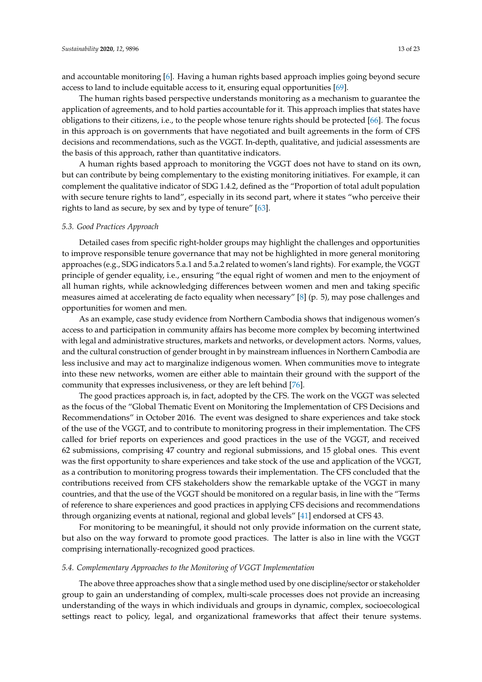and accountable monitoring [\[6\]](#page-18-1). Having a human rights based approach implies going beyond secure access to land to include equitable access to it, ensuring equal opportunities [\[69\]](#page-21-3).

The human rights based perspective understands monitoring as a mechanism to guarantee the application of agreements, and to hold parties accountable for it. This approach implies that states have obligations to their citizens, i.e., to the people whose tenure rights should be protected [\[66\]](#page-21-0). The focus in this approach is on governments that have negotiated and built agreements in the form of CFS decisions and recommendations, such as the VGGT. In-depth, qualitative, and judicial assessments are the basis of this approach, rather than quantitative indicators.

A human rights based approach to monitoring the VGGT does not have to stand on its own, but can contribute by being complementary to the existing monitoring initiatives. For example, it can complement the qualitative indicator of SDG 1.4.2, defined as the "Proportion of total adult population with secure tenure rights to land", especially in its second part, where it states "who perceive their rights to land as secure, by sex and by type of tenure" [\[63\]](#page-20-20).

#### <span id="page-12-0"></span>*5.3. Good Practices Approach*

Detailed cases from specific right-holder groups may highlight the challenges and opportunities to improve responsible tenure governance that may not be highlighted in more general monitoring approaches (e.g., SDG indicators 5.a.1 and 5.a.2 related to women's land rights). For example, the VGGT principle of gender equality, i.e., ensuring "the equal right of women and men to the enjoyment of all human rights, while acknowledging differences between women and men and taking specific measures aimed at accelerating de facto equality when necessary" [\[8\]](#page-18-3) (p. 5), may pose challenges and opportunities for women and men.

As an example, case study evidence from Northern Cambodia shows that indigenous women's access to and participation in community affairs has become more complex by becoming intertwined with legal and administrative structures, markets and networks, or development actors. Norms, values, and the cultural construction of gender brought in by mainstream influences in Northern Cambodia are less inclusive and may act to marginalize indigenous women. When communities move to integrate into these new networks, women are either able to maintain their ground with the support of the community that expresses inclusiveness, or they are left behind [\[76\]](#page-21-11).

The good practices approach is, in fact, adopted by the CFS. The work on the VGGT was selected as the focus of the "Global Thematic Event on Monitoring the Implementation of CFS Decisions and Recommendations" in October 2016. The event was designed to share experiences and take stock of the use of the VGGT, and to contribute to monitoring progress in their implementation. The CFS called for brief reports on experiences and good practices in the use of the VGGT, and received 62 submissions, comprising 47 country and regional submissions, and 15 global ones. This event was the first opportunity to share experiences and take stock of the use and application of the VGGT, as a contribution to monitoring progress towards their implementation. The CFS concluded that the contributions received from CFS stakeholders show the remarkable uptake of the VGGT in many countries, and that the use of the VGGT should be monitored on a regular basis, in line with the "Terms of reference to share experiences and good practices in applying CFS decisions and recommendations through organizing events at national, regional and global levels" [\[41\]](#page-19-16) endorsed at CFS 43.

For monitoring to be meaningful, it should not only provide information on the current state, but also on the way forward to promote good practices. The latter is also in line with the VGGT comprising internationally-recognized good practices.

#### *5.4. Complementary Approaches to the Monitoring of VGGT Implementation*

The above three approaches show that a single method used by one discipline/sector or stakeholder group to gain an understanding of complex, multi-scale processes does not provide an increasing understanding of the ways in which individuals and groups in dynamic, complex, socioecological settings react to policy, legal, and organizational frameworks that affect their tenure systems.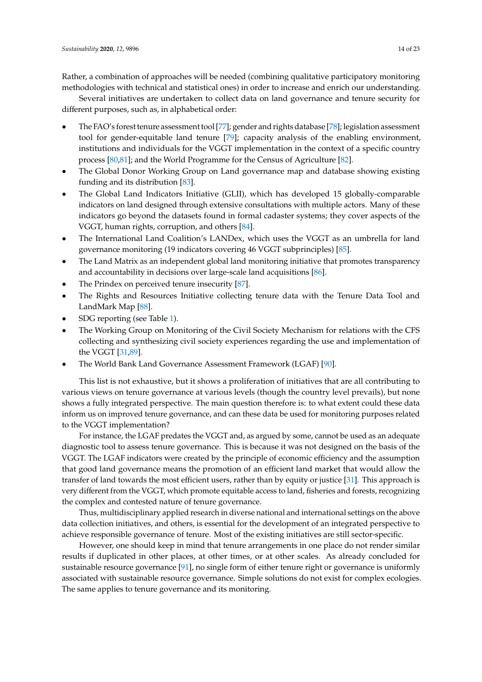Rather, a combination of approaches will be needed (combining qualitative participatory monitoring methodologies with technical and statistical ones) in order to increase and enrich our understanding.

Several initiatives are undertaken to collect data on land governance and tenure security for different purposes, such as, in alphabetical order:

- The FAO's forest tenure assessment tool [\[77\]](#page-21-12); gender and rights database [\[78\]](#page-21-13); legislation assessment tool for gender-equitable land tenure [\[79\]](#page-21-14); capacity analysis of the enabling environment, institutions and individuals for the VGGT implementation in the context of a specific country process [\[80,](#page-21-15)[81\]](#page-21-16); and the World Programme for the Census of Agriculture [\[82\]](#page-21-17).
- The Global Donor Working Group on Land governance map and database showing existing funding and its distribution [\[83\]](#page-21-18).
- The Global Land Indicators Initiative (GLII), which has developed 15 globally-comparable indicators on land designed through extensive consultations with multiple actors. Many of these indicators go beyond the datasets found in formal cadaster systems; they cover aspects of the VGGT, human rights, corruption, and others [\[84\]](#page-21-19).
- The International Land Coalition's LANDex, which uses the VGGT as an umbrella for land governance monitoring (19 indicators covering 46 VGGT subprinciples) [\[85\]](#page-21-20).
- The Land Matrix as an independent global land monitoring initiative that promotes transparency and accountability in decisions over large-scale land acquisitions [\[86\]](#page-21-21).
- The Prindex on perceived tenure insecurity [\[87\]](#page-22-0).
- The Rights and Resources Initiative collecting tenure data with the Tenure Data Tool and LandMark Map [\[88\]](#page-22-1).
- SDG reporting (see Table [1\)](#page-9-0).
- The Working Group on Monitoring of the Civil Society Mechanism for relations with the CFS collecting and synthesizing civil society experiences regarding the use and implementation of the VGGT [\[31](#page-19-6)[,89\]](#page-22-2).
- The World Bank Land Governance Assessment Framework (LGAF) [\[90\]](#page-22-3).

This list is not exhaustive, but it shows a proliferation of initiatives that are all contributing to various views on tenure governance at various levels (though the country level prevails), but none shows a fully integrated perspective. The main question therefore is: to what extent could these data inform us on improved tenure governance, and can these data be used for monitoring purposes related to the VGGT implementation?

For instance, the LGAF predates the VGGT and, as argued by some, cannot be used as an adequate diagnostic tool to assess tenure governance. This is because it was not designed on the basis of the VGGT. The LGAF indicators were created by the principle of economic efficiency and the assumption that good land governance means the promotion of an efficient land market that would allow the transfer of land towards the most efficient users, rather than by equity or justice [\[31\]](#page-19-6). This approach is very different from the VGGT, which promote equitable access to land, fisheries and forests, recognizing the complex and contested nature of tenure governance.

Thus, multidisciplinary applied research in diverse national and international settings on the above data collection initiatives, and others, is essential for the development of an integrated perspective to achieve responsible governance of tenure. Most of the existing initiatives are still sector-specific.

However, one should keep in mind that tenure arrangements in one place do not render similar results if duplicated in other places, at other times, or at other scales. As already concluded for sustainable resource governance [\[91\]](#page-22-4), no single form of either tenure right or governance is uniformly associated with sustainable resource governance. Simple solutions do not exist for complex ecologies. The same applies to tenure governance and its monitoring.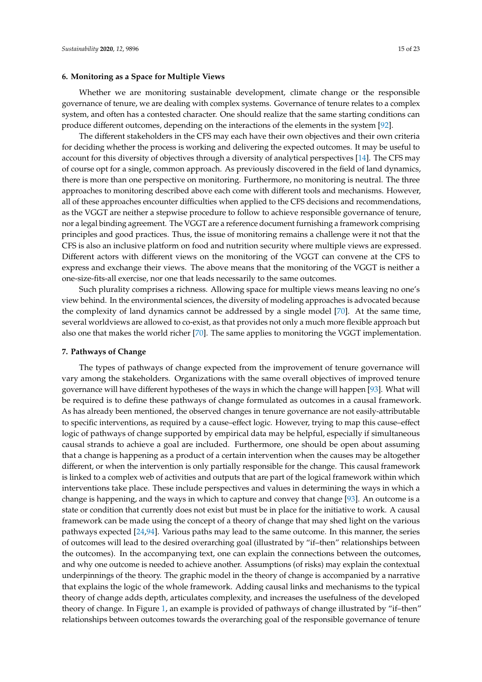#### <span id="page-14-0"></span>**6. Monitoring as a Space for Multiple Views**

Whether we are monitoring sustainable development, climate change or the responsible governance of tenure, we are dealing with complex systems. Governance of tenure relates to a complex system, and often has a contested character. One should realize that the same starting conditions can produce different outcomes, depending on the interactions of the elements in the system [\[92\]](#page-22-5).

The different stakeholders in the CFS may each have their own objectives and their own criteria for deciding whether the process is working and delivering the expected outcomes. It may be useful to account for this diversity of objectives through a diversity of analytical perspectives [\[14\]](#page-18-8). The CFS may of course opt for a single, common approach. As previously discovered in the field of land dynamics, there is more than one perspective on monitoring. Furthermore, no monitoring is neutral. The three approaches to monitoring described above each come with different tools and mechanisms. However, all of these approaches encounter difficulties when applied to the CFS decisions and recommendations, as the VGGT are neither a stepwise procedure to follow to achieve responsible governance of tenure, nor a legal binding agreement. The VGGT are a reference document furnishing a framework comprising principles and good practices. Thus, the issue of monitoring remains a challenge were it not that the CFS is also an inclusive platform on food and nutrition security where multiple views are expressed. Different actors with different views on the monitoring of the VGGT can convene at the CFS to express and exchange their views. The above means that the monitoring of the VGGT is neither a one-size-fits-all exercise, nor one that leads necessarily to the same outcomes.

Such plurality comprises a richness. Allowing space for multiple views means leaving no one's view behind. In the environmental sciences, the diversity of modeling approaches is advocated because the complexity of land dynamics cannot be addressed by a single model [\[70\]](#page-21-4). At the same time, several worldviews are allowed to co-exist, as that provides not only a much more flexible approach but also one that makes the world richer [\[70\]](#page-21-4). The same applies to monitoring the VGGT implementation.

## <span id="page-14-1"></span>**7. Pathways of Change**

The types of pathways of change expected from the improvement of tenure governance will vary among the stakeholders. Organizations with the same overall objectives of improved tenure governance will have different hypotheses of the ways in which the change will happen [\[93\]](#page-22-6). What will be required is to define these pathways of change formulated as outcomes in a causal framework. As has already been mentioned, the observed changes in tenure governance are not easily-attributable to specific interventions, as required by a cause–effect logic. However, trying to map this cause–effect logic of pathways of change supported by empirical data may be helpful, especially if simultaneous causal strands to achieve a goal are included. Furthermore, one should be open about assuming that a change is happening as a product of a certain intervention when the causes may be altogether different, or when the intervention is only partially responsible for the change. This causal framework is linked to a complex web of activities and outputs that are part of the logical framework within which interventions take place. These include perspectives and values in determining the ways in which a change is happening, and the ways in which to capture and convey that change [\[93\]](#page-22-6). An outcome is a state or condition that currently does not exist but must be in place for the initiative to work. A causal framework can be made using the concept of a theory of change that may shed light on the various pathways expected [\[24](#page-18-18)[,94\]](#page-22-7). Various paths may lead to the same outcome. In this manner, the series of outcomes will lead to the desired overarching goal (illustrated by "if–then" relationships between the outcomes). In the accompanying text, one can explain the connections between the outcomes, and why one outcome is needed to achieve another. Assumptions (of risks) may explain the contextual underpinnings of the theory. The graphic model in the theory of change is accompanied by a narrative that explains the logic of the whole framework. Adding causal links and mechanisms to the typical theory of change adds depth, articulates complexity, and increases the usefulness of the developed theory of change. In Figure [1,](#page-15-0) an example is provided of pathways of change illustrated by "if–then" relationships between outcomes towards the overarching goal of the responsible governance of tenure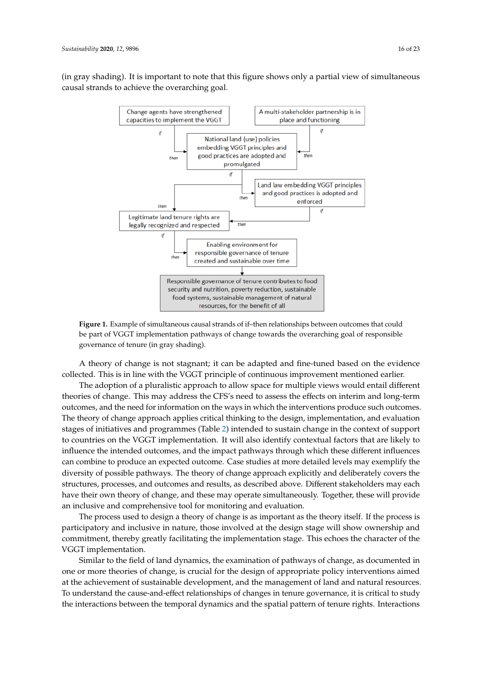<span id="page-15-0"></span>(in gray shading). It is important to note that this figure shows only a partial view of simultaneous causal strands to achieve the overarching goal.  $\overline{\phantom{a}}$ 



**Figure 1.** Example of simultaneous causal strands of if–then relationships between outcomes that **Figure 1.** Example of simultaneous causal strands of if–then relationships between outcomes that could be part of VGGT implementation pathways of change towards the overarching goal of responsible governance of tenure (in gray shading).

A theory of change is not stagnant; it can be adapted and fine-tuned based on the evidence collected. This is in line with the VGGT principle of continuous improvement mentioned earlier.

The adoption of a pluralistic approach to allow space for multiple views would entail different theories of change. This may address the CFS's need to assess the effects on interim and long-term outcomes, and the need for information on the ways in which the interventions produce such outcomes.<br>— The theory of change approach applies critical thinking to the design, implementation, and evaluation stages of initiatives and programmes (Table [2\)](#page-16-0) intended to sustain change in the context of support to countries on the VGGT implementation. It will also identify contextual factors that are likely to influence the intended outcomes, and the impact pathways through which these different influences in the set of change approach explicitly which the set of the set of the set of the set of the set of the set of the set of can combine to produce an expected outcome. Case studies at more detailed levels may exemplify the diversity of possible pathways. The theory of change approach explicitly and deliberately covers the structures, processes, and outcomes and results, as described above. Different stakeholders may each<br>. have their own theory of change, and these may operate simultaneously. Together, these will provide an inclusive and comprehensive tool for monitoring and evaluation.

The process used to design a theory of change is as important as the theory itself. If the process is commitment, thereby greatly facilitating the implementation stage. This echoes the character of the VGGT implementation. participatory and inclusive in nature, those involved at the design stage will show ownership and

Similar to the field of land dynamics, the examination of pathways of change, as documented in one or more theories of change, is crucial for the design of appropriate policy interventions aimed at the achievement of sustainable development, and the management of land and natural resources. To understand the cause-and-effect relationships of changes in tenure governance, it is critical to study the interactions between the temporal dynamics and the spatial pattern of tenure rights. Interactions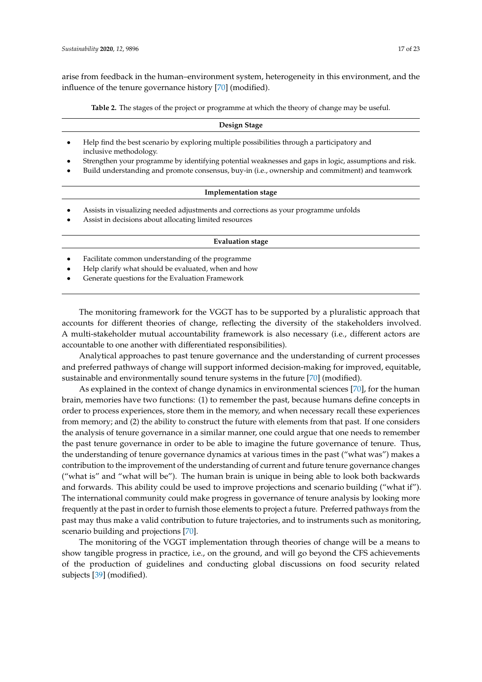<span id="page-16-0"></span>arise from feedback in the human–environment system, heterogeneity in this environment, and the influence of the tenure governance history [\[70\]](#page-21-4) (modified).

**Table 2.** The stages of the project or programme at which the theory of change may be useful.

#### **Design Stage**

- Help find the best scenario by exploring multiple possibilities through a participatory and inclusive methodology.
- Strengthen your programme by identifying potential weaknesses and gaps in logic, assumptions and risk.
- Build understanding and promote consensus, buy-in (i.e., ownership and commitment) and teamwork

#### **Implementation stage**

- Assists in visualizing needed adjustments and corrections as your programme unfolds
- Assist in decisions about allocating limited resources

#### **Evaluation stage**

- Facilitate common understanding of the programme
- Help clarify what should be evaluated, when and how
- Generate questions for the Evaluation Framework

The monitoring framework for the VGGT has to be supported by a pluralistic approach that accounts for different theories of change, reflecting the diversity of the stakeholders involved. A multi-stakeholder mutual accountability framework is also necessary (i.e., different actors are accountable to one another with differentiated responsibilities).

Analytical approaches to past tenure governance and the understanding of current processes and preferred pathways of change will support informed decision-making for improved, equitable, sustainable and environmentally sound tenure systems in the future [\[70\]](#page-21-4) (modified).

As explained in the context of change dynamics in environmental sciences [\[70\]](#page-21-4), for the human brain, memories have two functions: (1) to remember the past, because humans define concepts in order to process experiences, store them in the memory, and when necessary recall these experiences from memory; and (2) the ability to construct the future with elements from that past. If one considers the analysis of tenure governance in a similar manner, one could argue that one needs to remember the past tenure governance in order to be able to imagine the future governance of tenure. Thus, the understanding of tenure governance dynamics at various times in the past ("what was") makes a contribution to the improvement of the understanding of current and future tenure governance changes ("what is" and "what will be"). The human brain is unique in being able to look both backwards and forwards. This ability could be used to improve projections and scenario building ("what if"). The international community could make progress in governance of tenure analysis by looking more frequently at the past in order to furnish those elements to project a future. Preferred pathways from the past may thus make a valid contribution to future trajectories, and to instruments such as monitoring, scenario building and projections [\[70\]](#page-21-4).

The monitoring of the VGGT implementation through theories of change will be a means to show tangible progress in practice, i.e., on the ground, and will go beyond the CFS achievements of the production of guidelines and conducting global discussions on food security related subjects [\[39\]](#page-19-14) (modified).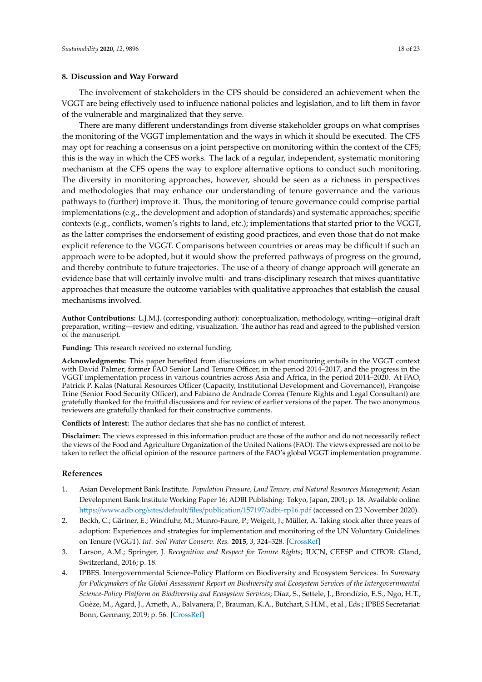## <span id="page-17-2"></span>**8. Discussion and Way Forward**

The involvement of stakeholders in the CFS should be considered an achievement when the VGGT are being effectively used to influence national policies and legislation, and to lift them in favor of the vulnerable and marginalized that they serve.

There are many different understandings from diverse stakeholder groups on what comprises the monitoring of the VGGT implementation and the ways in which it should be executed. The CFS may opt for reaching a consensus on a joint perspective on monitoring within the context of the CFS; this is the way in which the CFS works. The lack of a regular, independent, systematic monitoring mechanism at the CFS opens the way to explore alternative options to conduct such monitoring. The diversity in monitoring approaches, however, should be seen as a richness in perspectives and methodologies that may enhance our understanding of tenure governance and the various pathways to (further) improve it. Thus, the monitoring of tenure governance could comprise partial implementations (e.g., the development and adoption of standards) and systematic approaches; specific contexts (e.g., conflicts, women's rights to land, etc.); implementations that started prior to the VGGT, as the latter comprises the endorsement of existing good practices, and even those that do not make explicit reference to the VGGT. Comparisons between countries or areas may be difficult if such an approach were to be adopted, but it would show the preferred pathways of progress on the ground, and thereby contribute to future trajectories. The use of a theory of change approach will generate an evidence base that will certainly involve multi- and trans-disciplinary research that mixes quantitative approaches that measure the outcome variables with qualitative approaches that establish the causal mechanisms involved.

**Author Contributions:** L.J.M.J. (corresponding author): conceptualization, methodology, writing—original draft preparation, writing—review and editing, visualization. The author has read and agreed to the published version of the manuscript.

**Funding:** This research received no external funding.

**Acknowledgments:** This paper benefited from discussions on what monitoring entails in the VGGT context with David Palmer, former FAO Senior Land Tenure Officer, in the period 2014–2017, and the progress in the VGGT implementation process in various countries across Asia and Africa, in the period 2014–2020. At FAO, Patrick P. Kalas (Natural Resources Officer (Capacity, Institutional Development and Governance)), Françoise Trine (Senior Food Security Officer), and Fabiano de Andrade Correa (Tenure Rights and Legal Consultant) are gratefully thanked for the fruitful discussions and for review of earlier versions of the paper. The two anonymous reviewers are gratefully thanked for their constructive comments.

**Conflicts of Interest:** The author declares that she has no conflict of interest.

**Disclaimer:** The views expressed in this information product are those of the author and do not necessarily reflect the views of the Food and Agriculture Organization of the United Nations (FAO). The views expressed are not to be taken to reflect the official opinion of the resource partners of the FAO's global VGGT implementation programme.

## **References**

- <span id="page-17-0"></span>1. Asian Development Bank Institute. *Population Pressure, Land Tenure, and Natural Resources Management*; Asian Development Bank Institute Working Paper 16; ADBI Publishing: Tokyo, Japan, 2001; p. 18. Available online: https://www.adb.org/sites/default/files/publication/157197/[adbi-rp16.pdf](https://www.adb.org/sites/default/files/publication/157197/adbi-rp16.pdf) (accessed on 23 November 2020).
- 2. Beckh, C.; Gärtner, E.; Windfuhr, M.; Munro-Faure, P.; Weigelt, J.; Müller, A. Taking stock after three years of adoption: Experiences and strategies for implementation and monitoring of the UN Voluntary Guidelines on Tenure (VGGT). *Int. Soil Water Conserv. Res.* **2015**, *3*, 324–328. [\[CrossRef\]](http://dx.doi.org/10.1016/j.iswcr.2015.10.004)
- 3. Larson, A.M.; Springer, J. *Recognition and Respect for Tenure Rights*; IUCN, CEESP and CIFOR: Gland, Switzerland, 2016; p. 18.
- <span id="page-17-1"></span>4. IPBES. Intergovernmental Science-Policy Platform on Biodiversity and Ecosystem Services. In *Summary for Policymakers of the Global Assessment Report on Biodiversity and Ecosystem Services of the Intergovernmental Science-Policy Platform on Biodiversity and Ecosystem Services*; Díaz, S., Settele, J., Brondízio, E.S., Ngo, H.T., Guèze, M., Agard, J., Arneth, A., Balvanera, P., Brauman, K.A., Butchart, S.H.M., et al., Eds.; IPBES Secretariat: Bonn, Germany, 2019; p. 56. [\[CrossRef\]](http://dx.doi.org/10.5281/zenodo.3553579)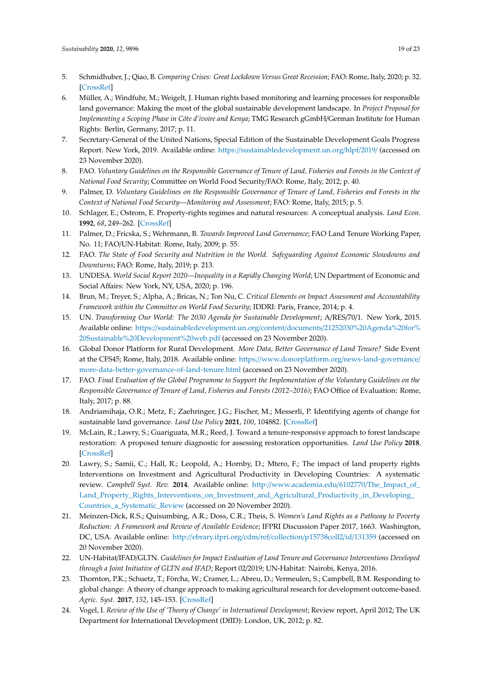- <span id="page-18-0"></span>5. Schmidhuber, J.; Qiao, B. *Comparing Crises: Great Lockdown Versus Great Recession*; FAO: Rome, Italy, 2020; p. 32. [\[CrossRef\]](http://dx.doi.org/10.4060/ca8833en)
- <span id="page-18-1"></span>6. Müller, A.; Windfuhr, M.; Weigelt, J. Human rights based monitoring and learning processes for responsible land governance: Making the most of the global sustainable development landscape. In *Project Proposal for Implementing a Scoping Phase in Côte d'ivoire and Kenya*; TMG Research gGmbH/German Institute for Human Rights: Berlin, Germany, 2017; p. 11.
- <span id="page-18-2"></span>7. Secretary-General of the United Nations, Special Edition of the Sustainable Development Goals Progress Report. New York, 2019. Available online: https://[sustainabledevelopment.un.org](https://sustainabledevelopment.un.org/hlpf/2019/)/hlpf/2019/ (accessed on 23 November 2020).
- <span id="page-18-3"></span>8. FAO. *Voluntary Guidelines on the Responsible Governance of Tenure of Land, Fisheries and Forests in the Context of National Food Security*; Committee on World Food Security/FAO: Rome, Italy, 2012; p. 40.
- <span id="page-18-4"></span>9. Palmer, D. *Voluntary Guidelines on the Responsible Governance of Tenure of Land, Fisheries and Forests in the Context of National Food Security—Monitoring and Assessment*; FAO: Rome, Italy, 2015; p. 5.
- <span id="page-18-5"></span>10. Schlager, E.; Ostrom, E. Property-rights regimes and natural resources: A conceptual analysis. *Land Econ.* **1992**, *68*, 249–262. [\[CrossRef\]](http://dx.doi.org/10.2307/3146375)
- <span id="page-18-6"></span>11. Palmer, D.; Fricska, S.; Wehrmann, B. *Towards Improved Land Governance*; FAO Land Tenure Working Paper, No. 11; FAO/UN-Habitat: Rome, Italy, 2009; p. 55.
- 12. FAO. *The State of Food Security and Nutrition in the World. Safeguarding Against Economic Slowdowns and Downturns*; FAO: Rome, Italy, 2019; p. 213.
- <span id="page-18-7"></span>13. UNDESA. *World Social Report 2020—Inequality in a Rapidly Changing World*; UN Department of Economic and Social Affairs: New York, NY, USA, 2020; p. 196.
- <span id="page-18-8"></span>14. Brun, M.; Treyer, S.; Alpha, A.; Bricas, N.; Ton Nu, C. *Critical Elements on Impact Assessment and Accountability Framework within the Committee on World Food Security*; IDDRI: Paris, France, 2014; p. 4.
- <span id="page-18-9"></span>15. UN. *Transforming Our World: The 2030 Agenda for Sustainable Development*; A/RES/70/1. New York, 2015. Available online: https://[sustainabledevelopment.un.org](https://sustainabledevelopment.un.org/content/documents/21252030%20Agenda%20for%20Sustainable%20Development%20web.pdf)/content/documents/21252030%20Agenda%20for% [20Sustainable%20Development%20web.pdf](https://sustainabledevelopment.un.org/content/documents/21252030%20Agenda%20for%20Sustainable%20Development%20web.pdf) (accessed on 23 November 2020).
- <span id="page-18-10"></span>16. Global Donor Platform for Rural Development. *More Data, Better Governance of Land Tenure?* Side Event at the CFS45; Rome, Italy, 2018. Available online: https://[www.donorplatform.org](https://www.donorplatform.org/news-land-governance/more-data-better-governance-of-land-tenure.html)/news-land-governance/ [more-data-better-governance-of-land-tenure.html](https://www.donorplatform.org/news-land-governance/more-data-better-governance-of-land-tenure.html) (accessed on 23 November 2020).
- <span id="page-18-11"></span>17. FAO. *Final Evaluation of the Global Programme to Support the Implementation of the Voluntary Guidelines on the Responsible Governance of Tenure of Land, Fisheries and Forests (2012–2016)*; FAO Office of Evaluation: Rome, Italy, 2017; p. 88.
- <span id="page-18-12"></span>18. Andriamihaja, O.R.; Metz, F.; Zaehringer, J.G.; Fischer, M.; Messerli, P. Identifying agents of change for sustainable land governance. *Land Use Policy* **2021**, *100*, 104882. [\[CrossRef\]](http://dx.doi.org/10.1016/j.landusepol.2020.104882)
- <span id="page-18-13"></span>19. McLain, R.; Lawry, S.; Guariguata, M.R.; Reed, J. Toward a tenure-responsive approach to forest landscape restoration: A proposed tenure diagnostic for assessing restoration opportunities. *Land Use Policy* **2018**. [\[CrossRef\]](http://dx.doi.org/10.1016/j.landusepol.2018.11.053)
- <span id="page-18-14"></span>20. Lawry, S.; Samii, C.; Hall, R.; Leopold, A.; Hornby, D.; Mtero, F.; The impact of land property rights Interventions on Investment and Agricultural Productivity in Developing Countries: A systematic review. *Campbell Syst. Rev.* **2014**. Available online: http://[www.academia.edu](http://www.academia.edu/6102770/The_Impact_of_Land_Property_Rights_Interventions_on_Investment_and_Agricultural_Productivity_in_Developing_Countries_a_Systematic_Review)/6102770/The\_Impact\_of\_ Land\_Property\_Rights\_Interventions\_on\_Investment\_and\_Agricultural\_Productivity\_in\_Developing [Countries\\_a\\_Systematic\\_Review](http://www.academia.edu/6102770/The_Impact_of_Land_Property_Rights_Interventions_on_Investment_and_Agricultural_Productivity_in_Developing_Countries_a_Systematic_Review) (accessed on 20 November 2020).
- <span id="page-18-15"></span>21. Meinzen-Dick, R.S.; Quisumbing, A.R.; Doss, C.R.; Theis, S. *Women's Land Rights as a Pathway to Poverty Reduction: A Framework and Review of Available Evidence*; IFPRI Discussion Paper 2017, 1663. Washington, DC, USA. Available online: http://[ebrary.ifpri.org](http://ebrary.ifpri.org/cdm/ref/collection/p15738coll2/id/131359)/cdm/ref/collection/p15738coll2/id/131359 (accessed on 20 November 2020).
- <span id="page-18-16"></span>22. UN-Habitat/IFAD/GLTN. *Guidelines for Impact Evaluation of Land Tenure and Governance Interventions Developed through a Joint Initiative of GLTN and IFAD*; Report 02/2019; UN-Habitat: Nairobi, Kenya, 2016.
- <span id="page-18-17"></span>23. Thornton, P.K.; Schuetz, T.; Förcha, W.; Cramer, L.; Abreu, D.; Vermeulen, S.; Campbell, B.M. Responding to global change: A theory of change approach to making agricultural research for development outcome-based. *Agric. Syst.* **2017**, *152*, 145–153. [\[CrossRef\]](http://dx.doi.org/10.1016/j.agsy.2017.01.005)
- <span id="page-18-18"></span>24. Vogel, I. *Review of the Use of 'Theory of Change' in International Development*; Review report, April 2012; The UK Department for International Development (DfID): London, UK, 2012; p. 82.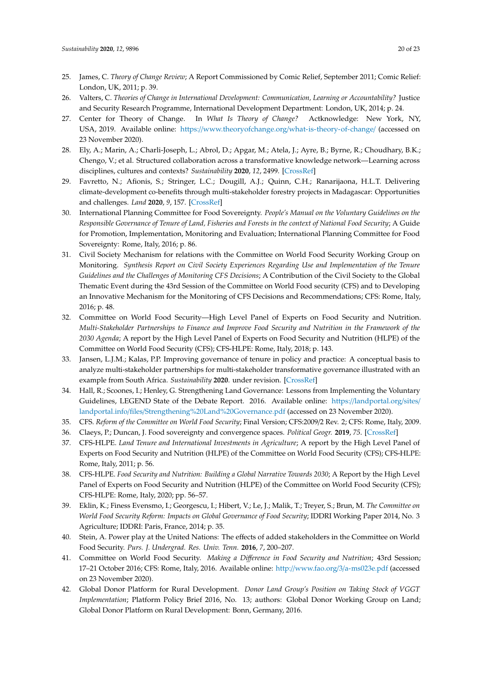- <span id="page-19-0"></span>25. James, C. *Theory of Change Review*; A Report Commissioned by Comic Relief, September 2011; Comic Relief: London, UK, 2011; p. 39.
- <span id="page-19-1"></span>26. Valters, C. *Theories of Change in International Development: Communication, Learning or Accountability?* Justice and Security Research Programme, International Development Department: London, UK, 2014; p. 24.
- <span id="page-19-2"></span>27. Center for Theory of Change. In *What Is Theory of Change?* Actknowledge: New York, NY, USA, 2019. Available online: https://www.theoryofchange.org/[what-is-theory-of-change](https://www.theoryofchange.org/what-is-theory-of-change/)/ (accessed on 23 November 2020).
- <span id="page-19-3"></span>28. Ely, A.; Marin, A.; Charli-Joseph, L.; Abrol, D.; Apgar, M.; Atela, J.; Ayre, B.; Byrne, R.; Choudhary, B.K.; Chengo, V.; et al. Structured collaboration across a transformative knowledge network—Learning across disciplines, cultures and contexts? *Sustainability* **2020**, *12*, 2499. [\[CrossRef\]](http://dx.doi.org/10.3390/su12062499)
- <span id="page-19-4"></span>29. Favretto, N.; Afionis, S.; Stringer, L.C.; Dougill, A.J.; Quinn, C.H.; Ranarijaona, H.L.T. Delivering climate-development co-benefits through multi-stakeholder forestry projects in Madagascar: Opportunities and challenges. *Land* **2020**, *9*, 157. [\[CrossRef\]](http://dx.doi.org/10.3390/land9050157)
- <span id="page-19-5"></span>30. International Planning Committee for Food Sovereignty. *People's Manual on the Voluntary Guidelines on the Responsible Governance of Tenure of Land, Fisheries and Forests in the context of National Food Security*; A Guide for Promotion, Implementation, Monitoring and Evaluation; International Planning Committee for Food Sovereignty: Rome, Italy, 2016; p. 86.
- <span id="page-19-6"></span>31. Civil Society Mechanism for relations with the Committee on World Food Security Working Group on Monitoring. *Synthesis Report on Civil Society Experiences Regarding Use and Implementation of the Tenure Guidelines and the Challenges of Monitoring CFS Decisions*; A Contribution of the Civil Society to the Global Thematic Event during the 43rd Session of the Committee on World Food security (CFS) and to Developing an Innovative Mechanism for the Monitoring of CFS Decisions and Recommendations; CFS: Rome, Italy, 2016; p. 48.
- <span id="page-19-7"></span>32. Committee on World Food Security—High Level Panel of Experts on Food Security and Nutrition. *Multi-Stakeholder Partnerships to Finance and Improve Food Security and Nutrition in the Framework of the 2030 Agenda*; A report by the High Level Panel of Experts on Food Security and Nutrition (HLPE) of the Committee on World Food Security (CFS); CFS-HLPE: Rome, Italy, 2018; p. 143.
- <span id="page-19-8"></span>33. Jansen, L.J.M.; Kalas, P.P. Improving governance of tenure in policy and practice: A conceptual basis to analyze multi-stakeholder partnerships for multi-stakeholder transformative governance illustrated with an example from South Africa. *Sustainability* **2020**. under revision. [\[CrossRef\]](http://dx.doi.org/10.3390/su12239901)
- <span id="page-19-9"></span>34. Hall, R.; Scoones, I.; Henley, G. Strengthening Land Governance: Lessons from Implementing the Voluntary Guidelines, LEGEND State of the Debate Report. 2016. Available online: https://[landportal.org](https://landportal.org/sites/landportal.info/files/Strengthening%20Land%20Governance.pdf)/sites/ landportal.info/files/[Strengthening%20Land%20Governance.pdf](https://landportal.org/sites/landportal.info/files/Strengthening%20Land%20Governance.pdf) (accessed on 23 November 2020).
- <span id="page-19-10"></span>35. CFS. *Reform of the Committee on World Food Security*; Final Version; CFS:2009/2 Rev. 2; CFS: Rome, Italy, 2009.
- <span id="page-19-11"></span>36. Claeys, P.; Duncan, J. Food sovereignty and convergence spaces. *Political Geogr.* **2019**, *75*. [\[CrossRef\]](http://dx.doi.org/10.1016/j.polgeo.2019.102045)
- <span id="page-19-12"></span>37. CFS-HLPE. *Land Tenure and International Investments in Agriculture*; A report by the High Level Panel of Experts on Food Security and Nutrition (HLPE) of the Committee on World Food Security (CFS); CFS-HLPE: Rome, Italy, 2011; p. 56.
- <span id="page-19-13"></span>38. CFS-HLPE. *Food Security and Nutrition: Building a Global Narrative Towards 2030*; A Report by the High Level Panel of Experts on Food Security and Nutrition (HLPE) of the Committee on World Food Security (CFS); CFS-HLPE: Rome, Italy, 2020; pp. 56–57.
- <span id="page-19-14"></span>39. Eklin, K.; Finess Evensmo, I.; Georgescu, I.; Hibert, V.; Le, J.; Malik, T.; Treyer, S.; Brun, M. *The Committee on World Food Security Reform: Impacts on Global Governance of Food Security*; IDDRI Working Paper 2014, No. 3 Agriculture; IDDRI: Paris, France, 2014; p. 35.
- <span id="page-19-15"></span>40. Stein, A. Power play at the United Nations: The effects of added stakeholders in the Committee on World Food Security. *Purs. J. Undergrad. Res. Univ. Tenn.* **2016**, *7*, 200–207.
- <span id="page-19-16"></span>41. Committee on World Food Security. *Making a Di*ff*erence in Food Security and Nutrition*; 43rd Session; 17–21 October 2016; CFS: Rome, Italy, 2016. Available online: http://www.fao.org/3/[a-ms023e.pdf](http://www.fao.org/3/a-ms023e.pdf) (accessed on 23 November 2020).
- <span id="page-19-17"></span>42. Global Donor Platform for Rural Development. *Donor Land Group's Position on Taking Stock of VGGT Implementation*; Platform Policy Brief 2016, No. 13; authors: Global Donor Working Group on Land; Global Donor Platform on Rural Development: Bonn, Germany, 2016.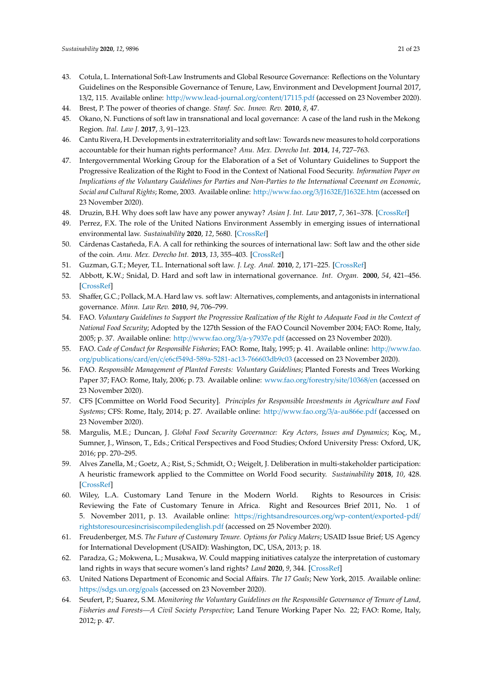- <span id="page-20-0"></span>43. Cotula, L. International Soft-Law Instruments and Global Resource Governance: Reflections on the Voluntary Guidelines on the Responsible Governance of Tenure, Law, Environment and Development Journal 2017, 13/2, 115. Available online: http://[www.lead-journal.org](http://www.lead-journal.org/content/17115.pdf)/content/17115.pdf (accessed on 23 November 2020).
- <span id="page-20-1"></span>44. Brest, P. The power of theories of change. *Stanf. Soc. Innov. Rev.* **2010**, *8*, 47.
- <span id="page-20-2"></span>45. Okano, N. Functions of soft law in transnational and local governance: A case of the land rush in the Mekong Region. *Ital. Law J.* **2017**, *3*, 91–123.
- <span id="page-20-3"></span>46. Cantu Rivera, H. Developments in extraterritoriality and soft law: Towards new measures to hold corporations accountable for their human rights performance? *Anu. Mex. Derecho Int.* **2014**, *14*, 727–763.
- <span id="page-20-4"></span>47. Intergovernmental Working Group for the Elaboration of a Set of Voluntary Guidelines to Support the Progressive Realization of the Right to Food in the Context of National Food Security. *Information Paper on Implications of the Voluntary Guidelines for Parties and Non-Parties to the International Covenant on Economic, Social and Cultural Rights*; Rome, 2003. Available online: http://[www.fao.org](http://www.fao.org/3/J1632E/J1632E.htm)/3/J1632E/J1632E.htm (accessed on 23 November 2020).
- <span id="page-20-5"></span>48. Druzin, B.H. Why does soft law have any power anyway? *Asian J. Int. Law* **2017**, *7*, 361–378. [\[CrossRef\]](http://dx.doi.org/10.1017/S2044251316000229)
- <span id="page-20-6"></span>49. Perrez, F.X. The role of the United Nations Environment Assembly in emerging issues of international environmental law. *Sustainability* **2020**, *12*, 5680. [\[CrossRef\]](http://dx.doi.org/10.3390/su12145680)
- <span id="page-20-7"></span>50. Cárdenas Castañeda, F.A. A call for rethinking the sources of international law: Soft law and the other side of the coin. *Anu. Mex. Derecho Int.* **2013**, *13*, 355–403. [\[CrossRef\]](http://dx.doi.org/10.1016/S1870-4654(13)71045-6)
- <span id="page-20-8"></span>51. Guzman, G.T.; Meyer, T.L. International soft law. *J. Leg. Anal.* **2010**, *2*, 171–225. [\[CrossRef\]](http://dx.doi.org/10.1093/jla/2.1.171)
- <span id="page-20-9"></span>52. Abbott, K.W.; Snidal, D. Hard and soft law in international governance. *Int. Organ.* **2000**, *54*, 421–456. [\[CrossRef\]](http://dx.doi.org/10.1162/002081800551280)
- <span id="page-20-10"></span>53. Shaffer, G.C.; Pollack, M.A. Hard law vs. soft law: Alternatives, complements, and antagonists in international governance. *Minn. Law Rev.* **2010**, *94*, 706–799.
- <span id="page-20-11"></span>54. FAO. *Voluntary Guidelines to Support the Progressive Realization of the Right to Adequate Food in the Context of National Food Security*; Adopted by the 127th Session of the FAO Council November 2004; FAO: Rome, Italy, 2005; p. 37. Available online: http://[www.fao.org](http://www.fao.org/3/a-y7937e.pdf)/3/a-y7937e.pdf (accessed on 23 November 2020).
- <span id="page-20-12"></span>55. FAO. *Code of Conduct for Responsible Fisheries*; FAO: Rome, Italy, 1995; p. 41. Available online: http://[www.fao.](http://www.fao.org/publications/card/en/c/e6cf549d-589a-5281-ac13-766603db9c03) org/publications/card/en/c/[e6cf549d-589a-5281-ac13-766603db9c03](http://www.fao.org/publications/card/en/c/e6cf549d-589a-5281-ac13-766603db9c03) (accessed on 23 November 2020).
- <span id="page-20-13"></span>56. FAO. *Responsible Management of Planted Forests: Voluntary Guidelines*; Planted Forests and Trees Working Paper 37; FAO: Rome, Italy, 2006; p. 73. Available online: [www.fao.org](www.fao.org/forestry/site/10368/en)/forestry/site/10368/en (accessed on 23 November 2020).
- <span id="page-20-14"></span>57. CFS [Committee on World Food Security]. *Principles for Responsible Investments in Agriculture and Food Systems*; CFS: Rome, Italy, 2014; p. 27. Available online: http://[www.fao.org](http://www.fao.org/3/a-au866e.pdf)/3/a-au866e.pdf (accessed on 23 November 2020).
- <span id="page-20-15"></span>58. Margulis, M.E.; Duncan, J. *Global Food Security Governance: Key Actors, Issues and Dynamics*; Koç, M., Sumner, J., Winson, T., Eds.; Critical Perspectives and Food Studies; Oxford University Press: Oxford, UK, 2016; pp. 270–295.
- <span id="page-20-16"></span>59. Alves Zanella, M.; Goetz, A.; Rist, S.; Schmidt, O.; Weigelt, J. Deliberation in multi-stakeholder participation: A heuristic framework applied to the Committee on World Food security. *Sustainability* **2018**, *10*, 428. [\[CrossRef\]](http://dx.doi.org/10.3390/su10020428)
- <span id="page-20-17"></span>60. Wiley, L.A. Customary Land Tenure in the Modern World. Rights to Resources in Crisis: Reviewing the Fate of Customary Tenure in Africa. Right and Resources Brief 2011, No. 1 of 5. November 2011, p. 13. Available online: https://[rightsandresources.org](https://rightsandresources.org/wp-content/exported-pdf/rightstoresourcesincrisiscompiledenglish.pdf)/wp-content/exported-pdf/ [rightstoresourcesincrisiscompiledenglish.pdf](https://rightsandresources.org/wp-content/exported-pdf/rightstoresourcesincrisiscompiledenglish.pdf) (accessed on 25 November 2020).
- <span id="page-20-18"></span>61. Freudenberger, M.S. *The Future of Customary Tenure. Options for Policy Makers*; USAID Issue Brief; US Agency for International Development (USAID): Washington, DC, USA, 2013; p. 18.
- <span id="page-20-19"></span>62. Paradza, G.; Mokwena, L.; Musakwa, W. Could mapping initiatives catalyze the interpretation of customary land rights in ways that secure women's land rights? *Land* **2020**, *9*, 344. [\[CrossRef\]](http://dx.doi.org/10.3390/land9100344)
- <span id="page-20-20"></span>63. United Nations Department of Economic and Social Affairs. *The 17 Goals*; New York, 2015. Available online: https://[sdgs.un.org](https://sdgs.un.org/goals)/goals (accessed on 23 November 2020).
- <span id="page-20-21"></span>64. Seufert, P.; Suarez, S.M. *Monitoring the Voluntary Guidelines on the Responsible Governance of Tenure of Land, Fisheries and Forests—A Civil Society Perspective*; Land Tenure Working Paper No. 22; FAO: Rome, Italy, 2012; p. 47.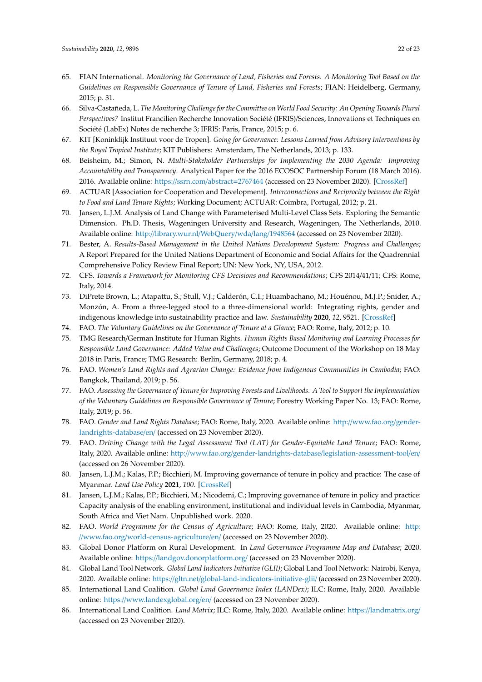- <span id="page-21-9"></span>65. FIAN International. *Monitoring the Governance of Land, Fisheries and Forests. A Monitoring Tool Based on the Guidelines on Responsible Governance of Tenure of Land, Fisheries and Forests*; FIAN: Heidelberg, Germany, 2015; p. 31.
- <span id="page-21-0"></span>66. Silva-Castañeda, L. *The Monitoring Challenge for the Committee on World Food Security: An Opening Towards Plural Perspectives?* Institut Francilien Recherche Innovation Société (IFRIS)/Sciences, Innovations et Techniques en Société (LabEx) Notes de recherche 3; IFRIS: Paris, France, 2015; p. 6.
- <span id="page-21-1"></span>67. KIT [Koninklijk Instituut voor de Tropen]. *Going for Governance: Lessons Learned from Advisory Interventions by the Royal Tropical Institute*; KIT Publishers: Amsterdam, The Netherlands, 2013; p. 133.
- <span id="page-21-2"></span>68. Beisheim, M.; Simon, N. *Multi-Stakeholder Partnerships for Implementing the 2030 Agenda: Improving Accountability and Transparency*. Analytical Paper for the 2016 ECOSOC Partnership Forum (18 March 2016). 2016. Available online: https://[ssrn.com](https://ssrn.com/abstract=2767464)/abstract=2767464 (accessed on 23 November 2020). [\[CrossRef\]](http://dx.doi.org/10.2139/ssrn.2767464)
- <span id="page-21-3"></span>69. ACTUAR [Association for Cooperation and Development]. *Interconnections and Reciprocity between the Right to Food and Land Tenure Rights*; Working Document; ACTUAR: Coimbra, Portugal, 2012; p. 21.
- <span id="page-21-4"></span>70. Jansen, L.J.M. Analysis of Land Change with Parameterised Multi-Level Class Sets. Exploring the Semantic Dimension. Ph.D. Thesis, Wageningen University and Research, Wageningen, The Netherlands, 2010. Available online: http://[library.wur.nl](http://library.wur.nl/WebQuery/wda/lang/1948564)/WebQuery/wda/lang/1948564 (accessed on 23 November 2020).
- <span id="page-21-5"></span>71. Bester, A. *Results-Based Management in the United Nations Development System: Progress and Challenges*; A Report Prepared for the United Nations Department of Economic and Social Affairs for the Quadrennial Comprehensive Policy Review Final Report; UN: New York, NY, USA, 2012.
- <span id="page-21-6"></span>72. CFS. *Towards a Framework for Monitoring CFS Decisions and Recommendations*; CFS 2014/41/11; CFS: Rome, Italy, 2014.
- <span id="page-21-7"></span>73. DiPrete Brown, L.; Atapattu, S.; Stull, V.J.; Calderón, C.I.; Huambachano, M.; Houénou, M.J.P.; Snider, A.; Monzón, A. From a three-legged stool to a three-dimensional world: Integrating rights, gender and indigenous knowledge into sustainability practice and law. *Sustainability* **2020**, *12*, 9521. [\[CrossRef\]](http://dx.doi.org/10.3390/su12229521)
- <span id="page-21-8"></span>74. FAO. *The Voluntary Guidelines on the Governance of Tenure at a Glance*; FAO: Rome, Italy, 2012; p. 10.
- <span id="page-21-10"></span>75. TMG Research/German Institute for Human Rights. *Human Rights Based Monitoring and Learning Processes for Responsible Land Governance: Added Value and Challenges*; Outcome Document of the Workshop on 18 May 2018 in Paris, France; TMG Research: Berlin, Germany, 2018; p. 4.
- <span id="page-21-11"></span>76. FAO. *Women's Land Rights and Agrarian Change: Evidence from Indigenous Communities in Cambodia*; FAO: Bangkok, Thailand, 2019; p. 56.
- <span id="page-21-12"></span>77. FAO. *Assessing the Governance of Tenure for Improving Forests and Livelihoods. A Tool to Support the Implementation of the Voluntary Guidelines on Responsible Governance of Tenure*; Forestry Working Paper No. 13; FAO: Rome, Italy, 2019; p. 56.
- <span id="page-21-13"></span>78. FAO. *Gender and Land Rights Database*; FAO: Rome, Italy, 2020. Available online: http://[www.fao.org](http://www.fao.org/gender-landrights-database/en/)/gender[landrights-database](http://www.fao.org/gender-landrights-database/en/)/en/ (accessed on 23 November 2020).
- <span id="page-21-14"></span>79. FAO. *Driving Change with the Legal Assessment Tool (LAT) for Gender-Equitable Land Tenure; FAO: Rome*, Italy, 2020. Available online: http://www.fao.org/[gender-landrights-database](http://www.fao.org/gender-landrights-database/legislation-assessment-tool/en/)/legislation-assessment-tool/en/ (accessed on 26 November 2020).
- <span id="page-21-15"></span>80. Jansen, L.J.M.; Kalas, P.P.; Bicchieri, M. Improving governance of tenure in policy and practice: The case of Myanmar. *Land Use Policy* **2021**, *100*. [\[CrossRef\]](http://dx.doi.org/10.1016/j.landusepol.2020.104906)
- <span id="page-21-16"></span>81. Jansen, L.J.M.; Kalas, P.P.; Bicchieri, M.; Nicodemi, C.; Improving governance of tenure in policy and practice: Capacity analysis of the enabling environment, institutional and individual levels in Cambodia, Myanmar, South Africa and Viet Nam. Unpublished work. 2020.
- <span id="page-21-17"></span>82. FAO. *World Programme for the Census of Agriculture*; FAO: Rome, Italy, 2020. Available online: [http:](http://www.fao.org/world-census-agriculture/en/) //www.fao.org/[world-census-agriculture](http://www.fao.org/world-census-agriculture/en/)/en/ (accessed on 23 November 2020).
- <span id="page-21-18"></span>83. Global Donor Platform on Rural Development. In *Land Governance Programme Map and Database*; 2020. Available online: https://[landgov.donorplatform.org](https://landgov.donorplatform.org/)/ (accessed on 23 November 2020).
- <span id="page-21-19"></span>84. Global Land Tool Network. *Global Land Indicators Initiative (GLII)*; Global Land Tool Network: Nairobi, Kenya, 2020. Available online: https://gltn.net/[global-land-indicators-initiative-glii](https://gltn.net/global-land-indicators-initiative-glii/)/ (accessed on 23 November 2020).
- <span id="page-21-20"></span>85. International Land Coalition. *Global Land Governance Index (LANDex)*; ILC: Rome, Italy, 2020. Available online: https://[www.landexglobal.org](https://www.landexglobal.org/en/)/en/ (accessed on 23 November 2020).
- <span id="page-21-21"></span>86. International Land Coalition. *Land Matrix*; ILC: Rome, Italy, 2020. Available online: https://[landmatrix.org](https://landmatrix.org/)/ (accessed on 23 November 2020).